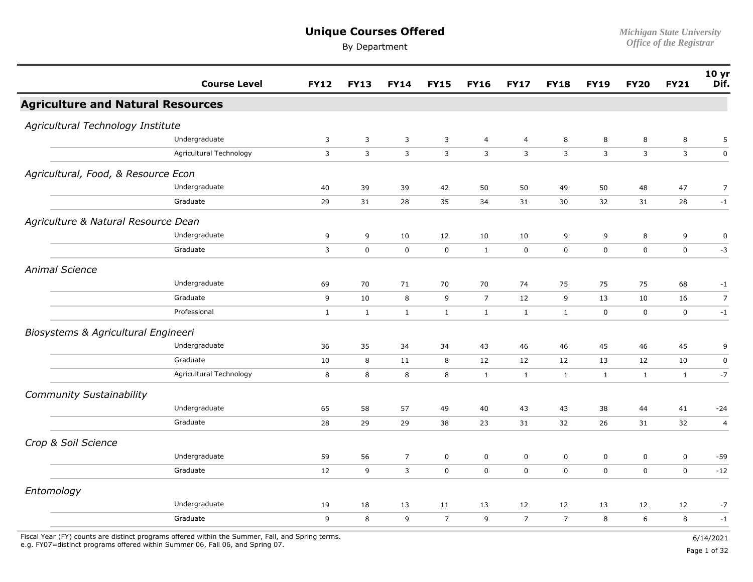#### **Unique Courses Offered** *Michigan State University*

By Department *Office of the Registrar* 

|                                          | <b>Course Level</b>     | <b>FY12</b>    | <b>FY13</b>  | <b>FY14</b>    | <b>FY15</b>    | <b>FY16</b>    | <b>FY17</b>    | <b>FY18</b>         | <b>FY19</b>  | <b>FY20</b>    | <b>FY21</b>  | 10 yr<br>Dif.  |
|------------------------------------------|-------------------------|----------------|--------------|----------------|----------------|----------------|----------------|---------------------|--------------|----------------|--------------|----------------|
| <b>Agriculture and Natural Resources</b> |                         |                |              |                |                |                |                |                     |              |                |              |                |
| Agricultural Technology Institute        |                         |                |              |                |                |                |                |                     |              |                |              |                |
|                                          | Undergraduate           | $\overline{3}$ | 3            | $\mathbf{3}$   | 3              | $\overline{4}$ | $\overline{4}$ | 8                   | 8            | 8              | 8            | 5              |
|                                          | Agricultural Technology | 3              | $\mathsf{3}$ | 3              | 3              | 3              | $\mathbf{3}$   | 3                   | 3            | $\overline{3}$ | 3            | $\pmb{0}$      |
| Agricultural, Food, & Resource Econ      |                         |                |              |                |                |                |                |                     |              |                |              |                |
|                                          | Undergraduate           | 40             | 39           | 39             | 42             | 50             | 50             | 49                  | 50           | 48             | 47           | $\overline{7}$ |
|                                          | Graduate                | 29             | 31           | 28             | 35             | 34             | 31             | 30                  | 32           | 31             | 28           | $-1$           |
| Agriculture & Natural Resource Dean      |                         |                |              |                |                |                |                |                     |              |                |              |                |
|                                          | Undergraduate           | 9              | 9            | 10             | 12             | 10             | 10             | 9                   | 9            | 8              | 9            | $\pmb{0}$      |
|                                          | Graduate                | $\overline{3}$ | $\pmb{0}$    | $\mathsf{O}$   | $\mathbf 0$    | $\mathbf{1}$   | $\mathbf 0$    | $\mathbf 0$         | 0            | $\mathbf 0$    | $\mathbf 0$  | $-3$           |
| <b>Animal Science</b>                    |                         |                |              |                |                |                |                |                     |              |                |              |                |
|                                          | Undergraduate           | 69             | 70           | 71             | 70             | 70             | 74             | 75                  | 75           | 75             | 68           | $-1$           |
|                                          | Graduate                | 9              | $10\,$       | 8              | 9              | $\overline{7}$ | 12             | 9                   | 13           | 10             | 16           | $\overline{7}$ |
|                                          | Professional            | $\mathbf{1}$   | $\mathbf{1}$ | 1              | $\mathbf{1}$   | $\mathbf{1}$   | 1              | $\mathbf{1}$        | $\mathbf 0$  | $\mathbf 0$    | $\mathbf 0$  | $-1$           |
| Biosystems & Agricultural Engineeri      |                         |                |              |                |                |                |                |                     |              |                |              |                |
|                                          | Undergraduate           | 36             | 35           | 34             | 34             | 43             | 46             | 46                  | 45           | 46             | 45           | 9              |
|                                          | Graduate                | 10             | $\bf 8$      | 11             | 8              | 12             | 12             | 12                  | 13           | 12             | 10           | $\pmb{0}$      |
|                                          | Agricultural Technology | 8              | $\bf 8$      | 8              | 8              | $\mathbf{1}$   | $\mathbf{1}$   | $\mathbf{1}$        | $\mathbf{1}$ | $\mathbf{1}$   | $\mathbf{1}$ | $-7$           |
| <b>Community Sustainability</b>          |                         |                |              |                |                |                |                |                     |              |                |              |                |
|                                          | Undergraduate           | 65             | 58           | 57             | 49             | 40             | 43             | 43                  | 38           | 44             | 41           | $-24$          |
|                                          | Graduate                | 28             | 29           | 29             | 38             | 23             | 31             | 32                  | 26           | 31             | 32           | $\overline{a}$ |
| Crop & Soil Science                      |                         |                |              |                |                |                |                |                     |              |                |              |                |
|                                          | Undergraduate           | 59             | 56           | $\overline{7}$ | $\mathbf 0$    | 0              | $\mathbf 0$    | $\mathsf{O}\xspace$ | $\pmb{0}$    | $\mathbf 0$    | $\mathbf 0$  | $-59$          |
|                                          | Graduate                | 12             | 9            | $\overline{3}$ | $\mathbf 0$    | $\mathbf 0$    | $\mathbf 0$    | $\mathbf 0$         | $\mathbf 0$  | $\mathbf 0$    | $\mathbf 0$  | $-12$          |
| Entomology                               |                         |                |              |                |                |                |                |                     |              |                |              |                |
|                                          | Undergraduate           | 19             | 18           | 13             | 11             | 13             | 12             | 12                  | 13           | 12             | 12           | $-7$           |
|                                          | Graduate                | 9              | 8            | 9              | $\overline{7}$ | 9              | $\overline{7}$ | $\overline{7}$      | 8            | 6              | 8            | $-1$           |
|                                          |                         |                |              |                |                |                |                |                     |              |                |              |                |

Fiscal Year (FY) counts are distinct programs offered within the Summer, Fall, and Spring terms.<br>e.g. FY07=distinct programs offered within Summer 06, Fall 06, and Spring 07. e.g. FY07=distinct programs offered within Summer 06, Fall 06, and Spring 07. Page 1 of 32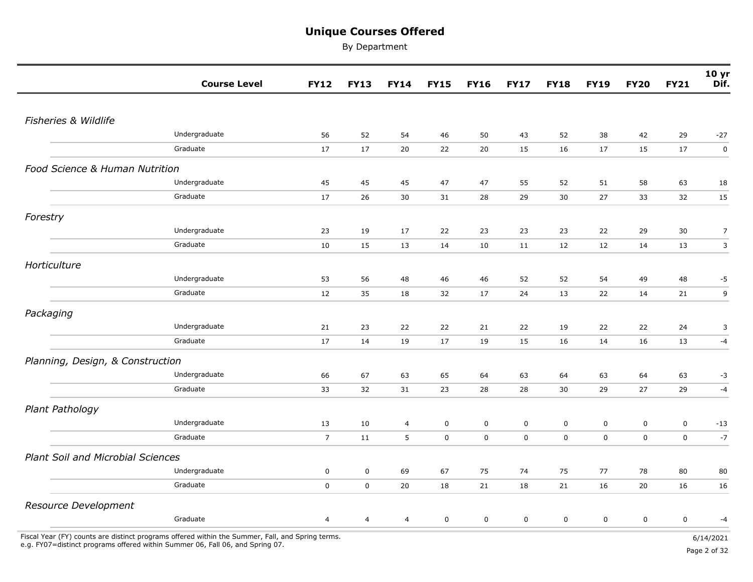By Department

|                                          | <b>Course Level</b>       | <b>FY12</b>                | <b>FY13</b>              | <b>FY14</b>    | <b>FY15</b> | <b>FY16</b> | <b>FY17</b> | <b>FY18</b> | <b>FY19</b> | <b>FY20</b> | <b>FY21</b> | 10 <sub>yr</sub><br>Dif. |
|------------------------------------------|---------------------------|----------------------------|--------------------------|----------------|-------------|-------------|-------------|-------------|-------------|-------------|-------------|--------------------------|
|                                          |                           |                            |                          |                |             |             |             |             |             |             |             |                          |
| Fisheries & Wildlife                     |                           |                            |                          |                |             |             |             |             |             |             |             |                          |
|                                          | Undergraduate             | 56                         | 52                       | 54             | 46          | 50          | 43          | 52          | 38          | 42          | 29          | $-27$                    |
|                                          | Graduate                  | 17                         | 17                       | 20             | 22          | 20          | 15          | 16          | 17          | 15          | 17          | $\pmb{0}$                |
| Food Science & Human Nutrition           |                           |                            |                          |                |             |             |             |             |             |             |             |                          |
|                                          | Undergraduate             | 45                         | 45                       | 45             | 47          | 47          | 55          | 52          | 51          | 58          | 63          | 18                       |
|                                          | Graduate                  | 17                         | 26                       | 30             | 31          | 28          | 29          | 30          | 27          | 33          | 32          | 15                       |
| Forestry                                 |                           |                            |                          |                |             |             |             |             |             |             |             |                          |
|                                          | Undergraduate             | 23                         | 19                       | 17             | 22          | 23          | 23          | 23          | 22          | 29          | 30          | $\overline{7}$           |
|                                          | Graduate                  | 10                         | 15                       | 13             | 14          | 10          | 11          | 12          | 12          | 14          | 13          | $\overline{3}$           |
| Horticulture                             |                           |                            |                          |                |             |             |             |             |             |             |             |                          |
|                                          | Undergraduate             | 53                         | 56                       | 48             | 46          | 46          | 52          | 52          | 54          | 49          | 48          | $-5$                     |
|                                          | Graduate                  | 12                         | 35                       | 18             | 32          | 17          | 24          | 13          | 22          | 14          | 21          | 9                        |
| Packaging                                |                           |                            |                          |                |             |             |             |             |             |             |             |                          |
|                                          | Undergraduate             | 21                         | 23                       | 22             | 22          | 21          | 22          | 19          | 22          | 22          | 24          | 3                        |
|                                          | Graduate                  | 17                         | 14                       | 19             | 17          | 19          | 15          | 16          | 14          | 16          | 13          | $-4$                     |
| Planning, Design, & Construction         |                           |                            |                          |                |             |             |             |             |             |             |             |                          |
|                                          | Undergraduate             | 66                         | 67                       | 63             | 65          | 64          | 63          | 64          | 63          | 64          | 63          | $-3$                     |
|                                          | Graduate                  | 33                         | 32                       | 31             | 23          | 28          | 28          | 30          | 29          | 27          | 29          | $-4$                     |
| Plant Pathology                          |                           |                            |                          |                |             |             |             |             |             |             |             |                          |
|                                          | Undergraduate             | 13                         | 10                       | $\overline{4}$ | 0           | 0           | $\mathbf 0$ | 0           | $\mathbf 0$ | $\mathbf 0$ | 0           | $-13$                    |
|                                          | Graduate                  | $\overline{7}$             | 11                       | 5              | 0           | $\mathbf 0$ | $\mathsf 0$ | $\mathsf 0$ | $\mathbf 0$ | $\mathbf 0$ | $\mathbf 0$ | $-7$                     |
|                                          |                           |                            |                          |                |             |             |             |             |             |             |             |                          |
| <b>Plant Soil and Microbial Sciences</b> |                           |                            |                          |                |             |             |             |             |             |             |             |                          |
|                                          | Undergraduate<br>Graduate | $\mathbf 0$<br>$\mathbf 0$ | $\mathsf 0$<br>$\pmb{0}$ | 69<br>20       | 67          | 75          | 74          | 75          | 77          | 78          | 80          | 80                       |
|                                          |                           |                            |                          |                | 18          | 21          | 18          | 21          | 16          | 20          | 16          | 16                       |
| Resource Development                     |                           |                            |                          |                |             |             |             |             |             |             |             |                          |
|                                          | Graduate                  | 4                          | $\overline{4}$           | 4              | 0           | $\pmb{0}$   | $\pmb{0}$   | $\mathbf 0$ | $\mathbf 0$ | $\mathbf 0$ | $\mathbf 0$ | $-4$                     |

e.g. FY07=distinct programs offered within Summer 06, Fall 06, and Spring 07. Page 2 of 32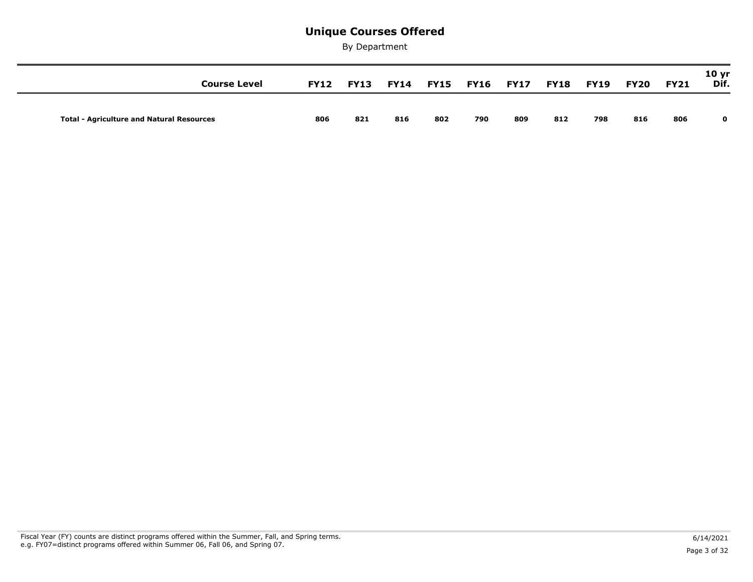| <b>Course Level</b>                              | <b>FY12</b> | <b>FY13</b> | <b>FY14</b> |     |     | <b>FY15 FY16 FY17</b> | <b>FY18</b> | <b>FY19</b> | <b>FY20</b> | <b>FY21</b> | 10 <sub>yr</sub><br>Dif. |
|--------------------------------------------------|-------------|-------------|-------------|-----|-----|-----------------------|-------------|-------------|-------------|-------------|--------------------------|
| <b>Total - Agriculture and Natural Resources</b> | 806         | 821         | 816         | 802 | 790 | 809                   | 812         | 798         | 816         | 806         | $\mathbf{o}$             |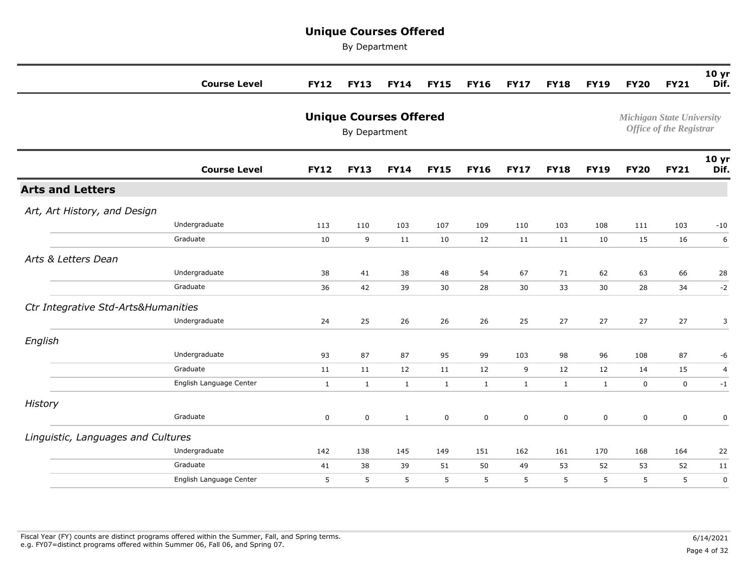|                                     | <b>Course Level</b>     | <b>FY12</b>  | <b>FY13</b>                                    | <b>FY14</b>  | <b>FY15</b>  | <b>FY16</b>  | <b>FY17</b>  | <b>FY18</b>  | <b>FY19</b>  | <b>FY20</b> | <b>FY21</b>                                                        | 10 <sub>yr</sub><br>Dif. |
|-------------------------------------|-------------------------|--------------|------------------------------------------------|--------------|--------------|--------------|--------------|--------------|--------------|-------------|--------------------------------------------------------------------|--------------------------|
|                                     |                         |              | <b>Unique Courses Offered</b><br>By Department |              |              |              |              |              |              |             | <b>Michigan State University</b><br><b>Office of the Registrar</b> |                          |
|                                     | <b>Course Level</b>     | <b>FY12</b>  | <b>FY13</b>                                    | <b>FY14</b>  | <b>FY15</b>  | <b>FY16</b>  | <b>FY17</b>  | <b>FY18</b>  | <b>FY19</b>  | <b>FY20</b> | <b>FY21</b>                                                        | 10 <sub>yr</sub><br>Dif. |
| <b>Arts and Letters</b>             |                         |              |                                                |              |              |              |              |              |              |             |                                                                    |                          |
| Art, Art History, and Design        |                         |              |                                                |              |              |              |              |              |              |             |                                                                    |                          |
|                                     | Undergraduate           | 113          | 110                                            | 103          | 107          | 109          | 110          | 103          | 108          | 111         | 103                                                                | $-10$                    |
|                                     | Graduate                | 10           | 9                                              | 11           | 10           | 12           | 11           | 11           | 10           | 15          | 16                                                                 | 6                        |
| Arts & Letters Dean                 |                         |              |                                                |              |              |              |              |              |              |             |                                                                    |                          |
|                                     | Undergraduate           | 38           | 41                                             | 38           | 48           | 54           | 67           | 71           | 62           | 63          | 66                                                                 | 28                       |
|                                     | Graduate                | 36           | 42                                             | 39           | 30           | 28           | 30           | 33           | 30           | 28          | 34                                                                 | $-2$                     |
| Ctr Integrative Std-Arts&Humanities |                         |              |                                                |              |              |              |              |              |              |             |                                                                    |                          |
|                                     | Undergraduate           | 24           | 25                                             | 26           | 26           | 26           | 25           | 27           | 27           | 27          | 27                                                                 | 3                        |
| English                             |                         |              |                                                |              |              |              |              |              |              |             |                                                                    |                          |
|                                     | Undergraduate           | 93           | 87                                             | 87           | 95           | 99           | 103          | 98           | 96           | 108         | 87                                                                 | -6                       |
|                                     | Graduate                | 11           | 11                                             | 12           | 11           | 12           | 9            | 12           | 12           | 14          | 15                                                                 | $\overline{a}$           |
|                                     | English Language Center | $\mathbf{1}$ | $\mathbf{1}$                                   | $\mathbf{1}$ | $\mathbf{1}$ | $\mathbf{1}$ | $\mathbf{1}$ | $\mathbf{1}$ | $\mathbf{1}$ | $\mathbf 0$ | $\mathbf 0$                                                        | $-1$                     |
| <b>History</b>                      |                         |              |                                                |              |              |              |              |              |              |             |                                                                    |                          |
|                                     | Graduate                | 0            | $\mathsf 0$                                    | $\mathbf{1}$ | 0            | $\mathbf 0$  | 0            | 0            | $\mathbf 0$  | $\mathsf 0$ | $\mathsf{O}$                                                       | 0                        |
| Linguistic, Languages and Cultures  |                         |              |                                                |              |              |              |              |              |              |             |                                                                    |                          |
|                                     | Undergraduate           | 142          | 138                                            | 145          | 149          | 151          | 162          | 161          | 170          | 168         | 164                                                                | 22                       |
|                                     | Graduate                | 41           | 38                                             | 39           | 51           | 50           | 49           | 53           | 52           | 53          | 52                                                                 | 11                       |
|                                     | English Language Center | 5            | 5                                              | 5            | 5            | 5            | 5            | 5            | 5            | 5           | 5                                                                  | 0                        |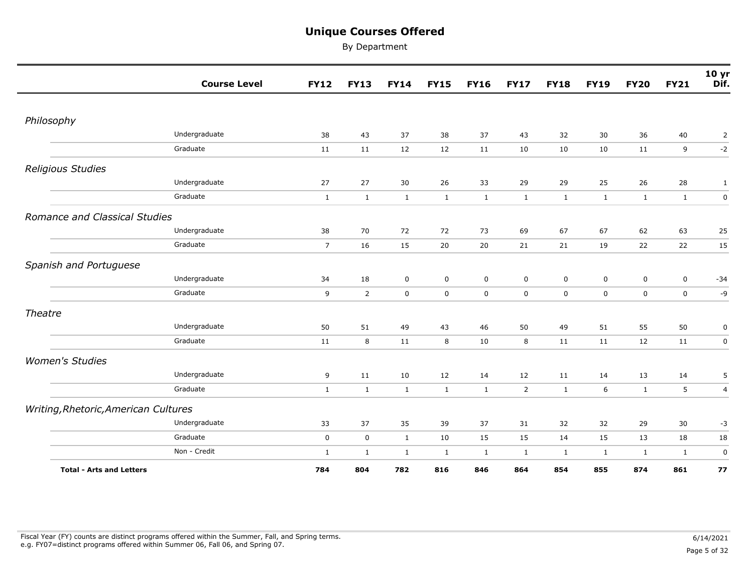|                                      | <b>Course Level</b> | <b>FY12</b>    | <b>FY13</b>    | <b>FY14</b>  | <b>FY15</b>  | <b>FY16</b>  | <b>FY17</b>    | <b>FY18</b>  | <b>FY19</b>  | <b>FY20</b>  | <b>FY21</b>  | 10 <sub>yr</sub><br>Dif. |
|--------------------------------------|---------------------|----------------|----------------|--------------|--------------|--------------|----------------|--------------|--------------|--------------|--------------|--------------------------|
|                                      |                     |                |                |              |              |              |                |              |              |              |              |                          |
| Philosophy                           |                     |                |                |              |              |              |                |              |              |              |              |                          |
|                                      | Undergraduate       | 38             | 43             | 37           | 38           | 37           | 43             | 32           | 30           | 36           | 40           | $\overline{2}$           |
|                                      | Graduate            | 11             | 11             | 12           | 12           | 11           | 10             | 10           | 10           | 11           | 9            | $-2$                     |
| Religious Studies                    |                     |                |                |              |              |              |                |              |              |              |              |                          |
|                                      | Undergraduate       | 27             | 27             | $30\,$       | 26           | 33           | 29             | 29           | 25           | 26           | 28           | 1                        |
|                                      | Graduate            | $\mathbf{1}$   | $\mathbf{1}$   | $\mathbf{1}$ | $\mathbf{1}$ | $\mathbf{1}$ | $\mathbf{1}$   | $\mathbf{1}$ | $\mathbf{1}$ | $\mathbf{1}$ | $\mathbf{1}$ | $\pmb{0}$                |
| Romance and Classical Studies        |                     |                |                |              |              |              |                |              |              |              |              |                          |
|                                      | Undergraduate       | 38             | 70             | 72           | 72           | 73           | 69             | 67           | 67           | 62           | 63           | 25                       |
|                                      | Graduate            | $\overline{7}$ | 16             | 15           | 20           | 20           | 21             | 21           | 19           | 22           | 22           | 15                       |
| Spanish and Portuguese               |                     |                |                |              |              |              |                |              |              |              |              |                          |
|                                      | Undergraduate       | 34             | 18             | $\mathsf 0$  | $\mathsf 0$  | $\mathbf 0$  | $\mathsf 0$    | 0            | $\mathbf 0$  | $\mathbf 0$  | $\mathsf 0$  | $-34$                    |
|                                      | Graduate            | 9              | $\overline{2}$ | $\mathbf 0$  | $\mathsf 0$  | $\mathbf 0$  | $\mathbf 0$    | 0            | $\mathbf 0$  | $\mathbf 0$  | $\mathbf 0$  | $-9$                     |
| Theatre                              |                     |                |                |              |              |              |                |              |              |              |              |                          |
|                                      | Undergraduate       | 50             | 51             | 49           | 43           | 46           | 50             | 49           | 51           | 55           | 50           | $\pmb{0}$                |
|                                      | Graduate            | 11             | 8              | 11           | 8            | 10           | 8              | 11           | 11           | 12           | 11           | $\mathsf 0$              |
| <b>Women's Studies</b>               |                     |                |                |              |              |              |                |              |              |              |              |                          |
|                                      | Undergraduate       | 9              | 11             | 10           | 12           | 14           | 12             | 11           | 14           | 13           | 14           | 5                        |
|                                      | Graduate            | $\mathbf{1}$   | $\mathbf{1}$   | $\mathbf{1}$ | $\mathbf{1}$ | $\mathbf{1}$ | $\overline{2}$ | $\mathbf{1}$ | 6            | $\mathbf{1}$ | 5            | $\overline{4}$           |
| Writing, Rhetoric, American Cultures |                     |                |                |              |              |              |                |              |              |              |              |                          |
|                                      | Undergraduate       | 33             | 37             | 35           | 39           | 37           | 31             | 32           | 32           | 29           | 30           | $-3$                     |
|                                      | Graduate            | $\mathbf 0$    | $\mathbf 0$    | $\mathbf{1}$ | $10\,$       | 15           | 15             | 14           | 15           | 13           | 18           | 18                       |
|                                      | Non - Credit        | $\mathbf{1}$   | $\mathbf{1}$   | $\mathbf{1}$ | $\mathbf{1}$ | $\mathbf{1}$ | $\mathbf{1}$   | $\mathbf{1}$ | $\mathbf{1}$ | $\mathbf{1}$ | $\mathbf{1}$ | $\pmb{0}$                |
| <b>Total - Arts and Letters</b>      |                     | 784            | 804            | 782          | 816          | 846          | 864            | 854          | 855          | 874          | 861          | 77                       |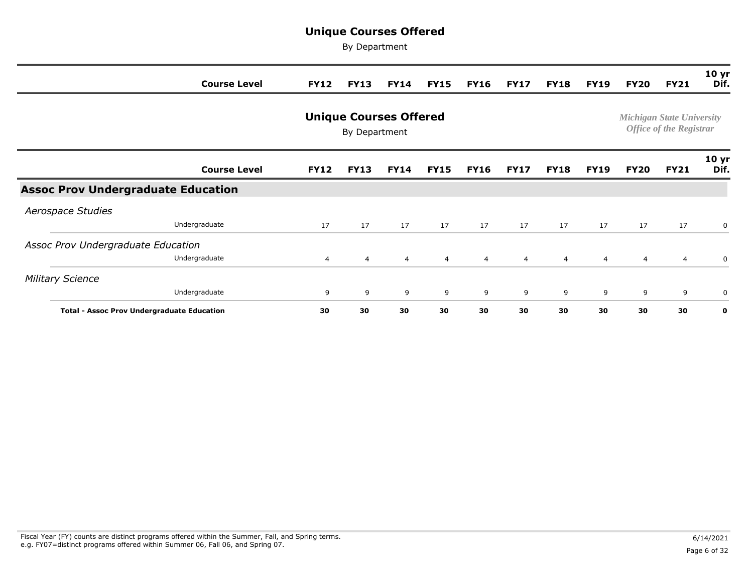|                                                   | <b>Course Level</b> | <b>FY12</b> | <b>FY13</b>                                    | <b>FY14</b>    | <b>FY15</b> | <b>FY16</b> | <b>FY17</b> | <b>FY18</b>    | <b>FY19</b> | <b>FY20</b>    | <b>FY21</b>                                                        | 10 <sub>yr</sub><br>Dif. |
|---------------------------------------------------|---------------------|-------------|------------------------------------------------|----------------|-------------|-------------|-------------|----------------|-------------|----------------|--------------------------------------------------------------------|--------------------------|
|                                                   |                     |             | <b>Unique Courses Offered</b><br>By Department |                |             |             |             |                |             |                | <b>Michigan State University</b><br><b>Office of the Registrar</b> |                          |
|                                                   | <b>Course Level</b> | <b>FY12</b> | <b>FY13</b>                                    | <b>FY14</b>    | <b>FY15</b> | <b>FY16</b> | <b>FY17</b> | <b>FY18</b>    | <b>FY19</b> | <b>FY20</b>    | <b>FY21</b>                                                        | 10 <sub>yr</sub><br>Dif. |
| <b>Assoc Prov Undergraduate Education</b>         |                     |             |                                                |                |             |             |             |                |             |                |                                                                    |                          |
| Aerospace Studies                                 |                     |             |                                                |                |             |             |             |                |             |                |                                                                    |                          |
|                                                   | Undergraduate       | 17          | 17                                             | 17             | 17          | 17          | 17          | 17             | 17          | 17             | 17                                                                 | 0                        |
| Assoc Prov Undergraduate Education                |                     |             |                                                |                |             |             |             |                |             |                |                                                                    |                          |
|                                                   | Undergraduate       | 4           | $\overline{4}$                                 | $\overline{4}$ | 4           | 4           | 4           | $\overline{4}$ | 4           | $\overline{4}$ | 4                                                                  | 0                        |
| <b>Military Science</b>                           |                     |             |                                                |                |             |             |             |                |             |                |                                                                    |                          |
|                                                   | Undergraduate       | 9           | 9                                              | 9              | 9           | 9           | 9           | 9              | 9           | 9              | 9                                                                  | 0                        |
| <b>Total - Assoc Prov Undergraduate Education</b> |                     | 30          | 30                                             | 30             | 30          | 30          | 30          | 30             | 30          | 30             | 30                                                                 | 0                        |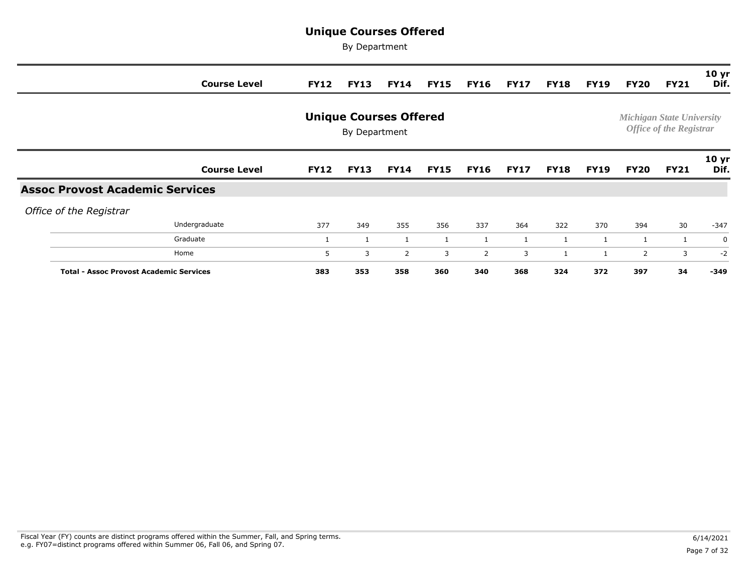|                                                | <b>Course Level</b> | <b>FY12</b> | <b>FY13</b>                                    | <b>FY14</b> | <b>FY15</b> | <b>FY16</b>    | <b>FY17</b>  | <b>FY18</b>  | <b>FY19</b> | FY20           | <b>FY21</b>                                                        | 10 <sub>yr</sub><br>Dif. |
|------------------------------------------------|---------------------|-------------|------------------------------------------------|-------------|-------------|----------------|--------------|--------------|-------------|----------------|--------------------------------------------------------------------|--------------------------|
|                                                |                     |             | <b>Unique Courses Offered</b><br>By Department |             |             |                |              |              |             |                | <b>Michigan State University</b><br><b>Office of the Registrar</b> |                          |
|                                                | <b>Course Level</b> | <b>FY12</b> | <b>FY13</b>                                    | <b>FY14</b> | <b>FY15</b> | FY16           | <b>FY17</b>  | <b>FY18</b>  | <b>FY19</b> | <b>FY20</b>    | <b>FY21</b>                                                        | 10 <sub>yr</sub><br>Dif. |
| <b>Assoc Provost Academic Services</b>         |                     |             |                                                |             |             |                |              |              |             |                |                                                                    |                          |
| Office of the Registrar                        |                     |             |                                                |             |             |                |              |              |             |                |                                                                    |                          |
|                                                | Undergraduate       | 377         | 349                                            | 355         | 356         | 337            | 364          | 322          | 370         | 394            | 30                                                                 | $-347$                   |
|                                                | Graduate            | 1           | 1                                              |             |             |                | $\mathbf{1}$ |              |             | 1              | $\mathbf{1}$                                                       | 0                        |
|                                                | Home                | 5           | 3                                              | $2^{\circ}$ | 3           | $\overline{2}$ | 3            | $\mathbf{1}$ |             | $\overline{2}$ | 3                                                                  | $-2$                     |
| <b>Total - Assoc Provost Academic Services</b> |                     | 383         | 353                                            | 358         | 360         | 340            | 368          | 324          | 372         | 397            | 34                                                                 | -349                     |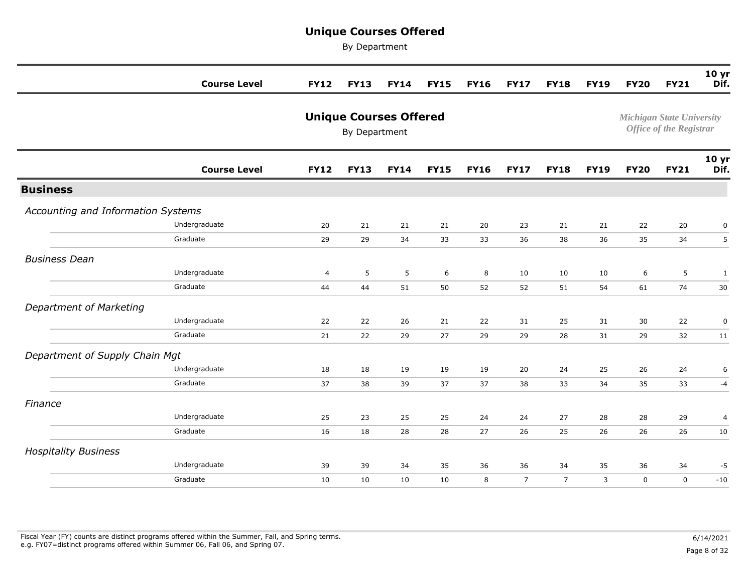|                                    | <b>Course Level</b> | <b>FY12</b> | <b>FY13</b>                                    | <b>FY14</b> | <b>FY15</b> | <b>FY16</b> | <b>FY17</b>    | <b>FY18</b>    | <b>FY19</b> | <b>FY20</b> | <b>FY21</b>                                                        | 10 yr<br>Dif.            |
|------------------------------------|---------------------|-------------|------------------------------------------------|-------------|-------------|-------------|----------------|----------------|-------------|-------------|--------------------------------------------------------------------|--------------------------|
|                                    |                     |             | <b>Unique Courses Offered</b><br>By Department |             |             |             |                |                |             |             | <b>Michigan State University</b><br><b>Office of the Registrar</b> |                          |
|                                    | <b>Course Level</b> | <b>FY12</b> | <b>FY13</b>                                    | <b>FY14</b> | <b>FY15</b> | <b>FY16</b> | <b>FY17</b>    | <b>FY18</b>    | <b>FY19</b> | <b>FY20</b> | <b>FY21</b>                                                        | 10 <sub>yr</sub><br>Dif. |
| <b>Business</b>                    |                     |             |                                                |             |             |             |                |                |             |             |                                                                    |                          |
| Accounting and Information Systems |                     |             |                                                |             |             |             |                |                |             |             |                                                                    |                          |
|                                    | Undergraduate       | 20          | 21                                             | 21          | 21          | 20          | 23             | 21             | 21          | 22          | 20                                                                 | 0                        |
|                                    | Graduate            | 29          | 29                                             | 34          | 33          | 33          | 36             | 38             | 36          | 35          | 34                                                                 | 5                        |
| <b>Business Dean</b>               |                     |             |                                                |             |             |             |                |                |             |             |                                                                    |                          |
|                                    | Undergraduate       | 4           | 5                                              | 5           | 6           | 8           | 10             | 10             | 10          | 6           | 5                                                                  | $\mathbf{1}$             |
|                                    | Graduate            | 44          | 44                                             | 51          | 50          | 52          | 52             | 51             | 54          | 61          | 74                                                                 | 30                       |
| Department of Marketing            |                     |             |                                                |             |             |             |                |                |             |             |                                                                    |                          |
|                                    | Undergraduate       | 22          | 22                                             | 26          | 21          | 22          | 31             | 25             | 31          | 30          | 22                                                                 | 0                        |
|                                    | Graduate            | 21          | 22                                             | 29          | 27          | 29          | 29             | 28             | 31          | 29          | 32                                                                 | 11                       |
| Department of Supply Chain Mgt     |                     |             |                                                |             |             |             |                |                |             |             |                                                                    |                          |
|                                    | Undergraduate       | 18          | 18                                             | 19          | 19          | 19          | 20             | 24             | 25          | 26          | 24                                                                 | 6                        |
|                                    | Graduate            | 37          | 38                                             | 39          | 37          | 37          | 38             | 33             | 34          | 35          | 33                                                                 | $-4$                     |
| Finance                            |                     |             |                                                |             |             |             |                |                |             |             |                                                                    |                          |
|                                    | Undergraduate       | 25          | 23                                             | 25          | 25          | 24          | 24             | 27             | 28          | 28          | 29                                                                 | 4                        |
|                                    | Graduate            | 16          | 18                                             | 28          | 28          | 27          | 26             | 25             | 26          | 26          | 26                                                                 | 10                       |
| <b>Hospitality Business</b>        |                     |             |                                                |             |             |             |                |                |             |             |                                                                    |                          |
|                                    | Undergraduate       | 39          | 39                                             | 34          | 35          | 36          | 36             | 34             | 35          | 36          | 34                                                                 | $-5$                     |
|                                    | Graduate            | 10          | 10                                             | 10          | 10          | 8           | $\overline{7}$ | $\overline{7}$ | 3           | $\mathbf 0$ | 0                                                                  | $-10$                    |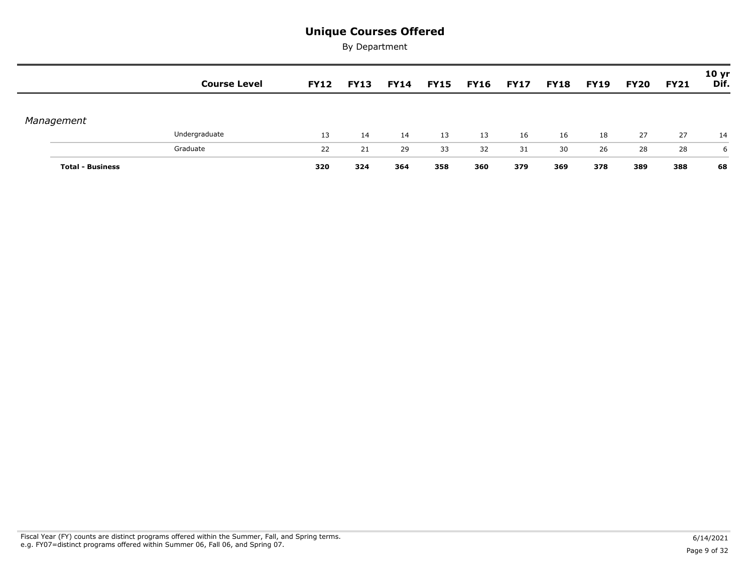|                         | <b>Course Level</b> | <b>FY12</b> | <b>FY13</b> | <b>FY14</b> | <b>FY15</b> | <b>FY16</b> | <b>FY17</b> | <b>FY18</b> | <b>FY19</b> | <b>FY20</b> | <b>FY21</b> | 10 <sub>yr</sub><br>Dif. |
|-------------------------|---------------------|-------------|-------------|-------------|-------------|-------------|-------------|-------------|-------------|-------------|-------------|--------------------------|
|                         |                     |             |             |             |             |             |             |             |             |             |             |                          |
| Management              |                     |             |             |             |             |             |             |             |             |             |             |                          |
|                         | Undergraduate       | 13          | 14          | 14          | 13          | 13          | 16          | 16          | 18          | 27          | 27          | 14                       |
|                         | Graduate            | 22          | 21          | 29          | 33          | 32          | 31          | 30          | 26          | 28          | 28          | 6                        |
| <b>Total - Business</b> |                     | 320         | 324         | 364         | 358         | 360         | 379         | 369         | 378         | 389         | 388         | 68                       |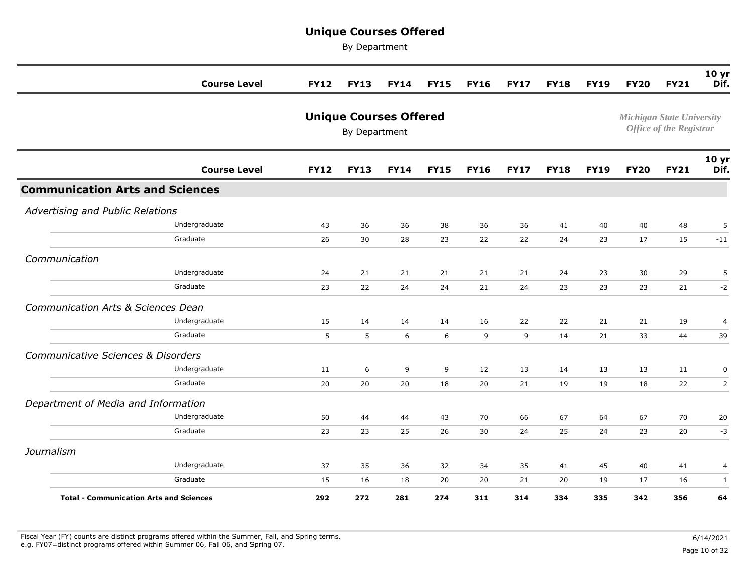By Department

|                                                | <b>Course Level</b> | <b>FY12</b> | <b>FY13</b>   | <b>FY14</b>                   | <b>FY15</b> | <b>FY16</b> | <b>FY17</b> | <b>FY18</b> | <b>FY19</b> | <b>FY20</b> | <b>FY21</b>                                                        | 10 yr<br>Dif.            |
|------------------------------------------------|---------------------|-------------|---------------|-------------------------------|-------------|-------------|-------------|-------------|-------------|-------------|--------------------------------------------------------------------|--------------------------|
|                                                |                     |             | By Department | <b>Unique Courses Offered</b> |             |             |             |             |             |             | <b>Michigan State University</b><br><b>Office of the Registrar</b> |                          |
|                                                | <b>Course Level</b> | <b>FY12</b> | <b>FY13</b>   | <b>FY14</b>                   | <b>FY15</b> | <b>FY16</b> | <b>FY17</b> | <b>FY18</b> | <b>FY19</b> | <b>FY20</b> | <b>FY21</b>                                                        | 10 <sub>yr</sub><br>Dif. |
| <b>Communication Arts and Sciences</b>         |                     |             |               |                               |             |             |             |             |             |             |                                                                    |                          |
| Advertising and Public Relations               |                     |             |               |                               |             |             |             |             |             |             |                                                                    |                          |
|                                                | Undergraduate       | 43          | 36            | 36                            | 38          | 36          | 36          | 41          | 40          | 40          | 48                                                                 | 5                        |
|                                                | Graduate            | 26          | 30            | 28                            | 23          | 22          | 22          | 24          | 23          | 17          | 15                                                                 | $-11$                    |
| Communication                                  |                     |             |               |                               |             |             |             |             |             |             |                                                                    |                          |
|                                                | Undergraduate       | 24          | 21            | 21                            | 21          | 21          | 21          | 24          | 23          | 30          | 29                                                                 | 5                        |
|                                                | Graduate            | 23          | 22            | 24                            | 24          | 21          | 24          | 23          | 23          | 23          | 21                                                                 | $-2$                     |
| Communication Arts & Sciences Dean             |                     |             |               |                               |             |             |             |             |             |             |                                                                    |                          |
|                                                | Undergraduate       | 15          | 14            | 14                            | 14          | 16          | 22          | 22          | 21          | 21          | 19                                                                 | 4                        |
|                                                | Graduate            | 5           | 5             | 6                             | 6           | 9           | 9           | 14          | 21          | 33          | 44                                                                 | 39                       |
| Communicative Sciences & Disorders             |                     |             |               |                               |             |             |             |             |             |             |                                                                    |                          |
|                                                | Undergraduate       | 11          | 6             | 9                             | 9           | 12          | 13          | 14          | 13          | 13          | 11                                                                 | 0                        |
|                                                | Graduate            | 20          | 20            | 20                            | 18          | 20          | 21          | 19          | 19          | 18          | 22                                                                 | 2                        |
| Department of Media and Information            |                     |             |               |                               |             |             |             |             |             |             |                                                                    |                          |
|                                                | Undergraduate       | 50          | 44            | 44                            | 43          | 70          | 66          | 67          | 64          | 67          | 70                                                                 | 20                       |
|                                                | Graduate            | 23          | 23            | 25                            | 26          | 30          | 24          | 25          | 24          | 23          | 20                                                                 | $-3$                     |
| Journalism                                     |                     |             |               |                               |             |             |             |             |             |             |                                                                    |                          |
|                                                | Undergraduate       | 37          | 35            | 36                            | 32          | 34          | 35          | 41          | 45          | 40          | 41                                                                 | 4                        |
|                                                | Graduate            | 15          | 16            | 18                            | 20          | 20          | 21          | 20          | 19          | 17          | 16                                                                 | $\mathbf{1}$             |
| <b>Total - Communication Arts and Sciences</b> |                     | 292         | 272           | 281                           | 274         | 311         | 314         | 334         | 335         | 342         | 356                                                                | 64                       |

Fiscal Year (FY) counts are distinct programs offered within the Summer, Fall, and Spring terms.<br>e.g. FY07=distinct programs offered within Summer 06, Fall 06, and Spring 07. e.g. FY07=distinct programs offered within Summer 06, Fall 06, and Spring 07. Page 10 of 32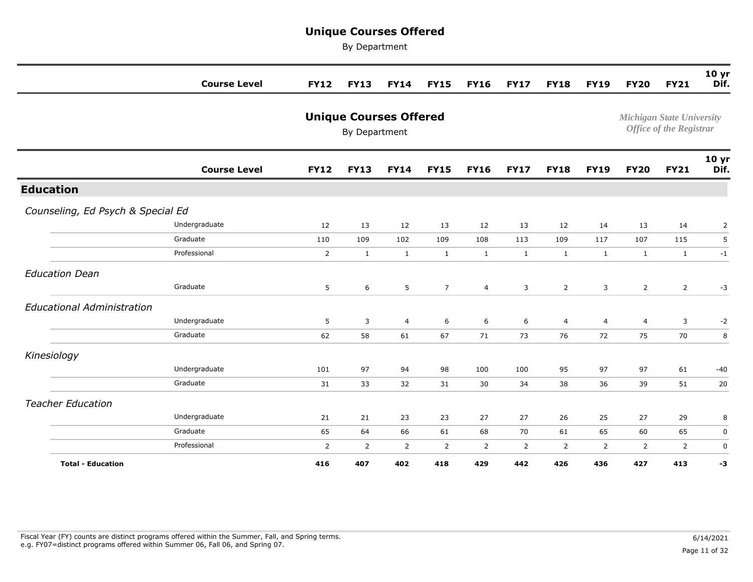|                                   | <b>Course Level</b> | <b>FY12</b>    | <b>FY13</b>                                    | <b>FY14</b>    | <b>FY15</b>    | <b>FY16</b>    | <b>FY17</b>    | <b>FY18</b>    | <b>FY19</b>    | <b>FY20</b>    | <b>FY21</b>                                                        | 10 <sub>yr</sub><br>Dif. |
|-----------------------------------|---------------------|----------------|------------------------------------------------|----------------|----------------|----------------|----------------|----------------|----------------|----------------|--------------------------------------------------------------------|--------------------------|
|                                   |                     |                | <b>Unique Courses Offered</b><br>By Department |                |                |                |                |                |                |                | <b>Michigan State University</b><br><b>Office of the Registrar</b> |                          |
|                                   | <b>Course Level</b> | <b>FY12</b>    | <b>FY13</b>                                    | <b>FY14</b>    | <b>FY15</b>    | <b>FY16</b>    | <b>FY17</b>    | <b>FY18</b>    | <b>FY19</b>    | <b>FY20</b>    | <b>FY21</b>                                                        | 10 yr<br>Dif.            |
| <b>Education</b>                  |                     |                |                                                |                |                |                |                |                |                |                |                                                                    |                          |
| Counseling, Ed Psych & Special Ed |                     |                |                                                |                |                |                |                |                |                |                |                                                                    |                          |
|                                   | Undergraduate       | 12             | 13                                             | 12             | 13             | 12             | 13             | 12             | 14             | 13             | 14                                                                 | 2                        |
|                                   | Graduate            | 110            | 109                                            | 102            | 109            | 108            | 113            | 109            | 117            | 107            | 115                                                                | 5                        |
|                                   | Professional        | $\overline{2}$ | $\mathbf{1}$                                   | $\mathbf{1}$   | $\mathbf{1}$   | $\mathbf{1}$   | $\mathbf{1}$   | $\mathbf{1}$   | $\mathbf{1}$   | $\mathbf{1}$   | $\mathbf{1}$                                                       | $-1$                     |
| <b>Education Dean</b>             |                     |                |                                                |                |                |                |                |                |                |                |                                                                    |                          |
|                                   | Graduate            | 5              | 6                                              | 5              | $\overline{7}$ | $\overline{4}$ | 3              | $\overline{2}$ | 3              | $\overline{2}$ | $\overline{2}$                                                     | $-3$                     |
| <b>Educational Administration</b> |                     |                |                                                |                |                |                |                |                |                |                |                                                                    |                          |
|                                   | Undergraduate       | 5              | 3                                              | $\overline{4}$ | 6              | 6              | 6              | 4              | $\overline{4}$ | 4              | 3                                                                  | $-2$                     |
|                                   | Graduate            | 62             | 58                                             | 61             | 67             | 71             | 73             | 76             | 72             | 75             | 70                                                                 | 8                        |
| Kinesiology                       |                     |                |                                                |                |                |                |                |                |                |                |                                                                    |                          |
|                                   | Undergraduate       | 101            | 97                                             | 94             | 98             | 100            | 100            | 95             | 97             | 97             | 61                                                                 | $-40$                    |
|                                   | Graduate            | 31             | 33                                             | 32             | 31             | 30             | 34             | 38             | 36             | 39             | 51                                                                 | 20                       |
| <b>Teacher Education</b>          |                     |                |                                                |                |                |                |                |                |                |                |                                                                    |                          |
|                                   | Undergraduate       | 21             | 21                                             | 23             | 23             | 27             | 27             | 26             | 25             | 27             | 29                                                                 | 8                        |
|                                   | Graduate            | 65             | 64                                             | 66             | 61             | 68             | 70             | 61             | 65             | 60             | 65                                                                 | 0                        |
|                                   | Professional        | $\overline{2}$ | $\overline{2}$                                 | $\overline{2}$ | $\overline{2}$ | $\overline{2}$ | $\overline{2}$ | $\overline{2}$ | $\overline{2}$ | 2              | $\overline{2}$                                                     | 0                        |
| <b>Total - Education</b>          |                     | 416            | 407                                            | 402            | 418            | 429            | 442            | 426            | 436            | 427            | 413                                                                | -3                       |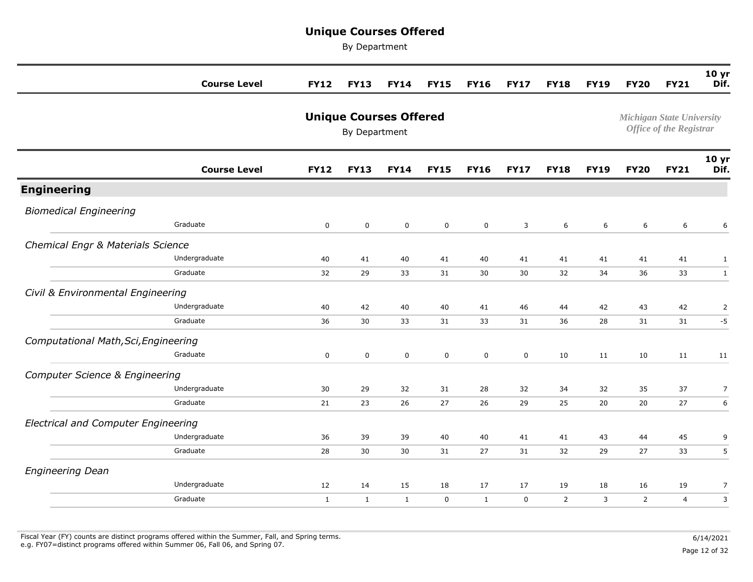By Department

|                                            | <b>Course Level</b> | <b>FY12</b>  | <b>FY13</b>                                    | <b>FY14</b>  | <b>FY15</b>  | <b>FY16</b>  | <b>FY17</b> | <b>FY18</b>      | <b>FY19</b>      | <b>FY20</b>                      | <b>FY21</b>                    | 10 <sub>yr</sub><br>Dif. |
|--------------------------------------------|---------------------|--------------|------------------------------------------------|--------------|--------------|--------------|-------------|------------------|------------------|----------------------------------|--------------------------------|--------------------------|
|                                            |                     |              | <b>Unique Courses Offered</b><br>By Department |              |              |              |             |                  |                  | <b>Michigan State University</b> | <b>Office of the Registrar</b> |                          |
|                                            | <b>Course Level</b> | <b>FY12</b>  | <b>FY13</b>                                    | <b>FY14</b>  | <b>FY15</b>  | <b>FY16</b>  | <b>FY17</b> | <b>FY18</b>      | <b>FY19</b>      | <b>FY20</b>                      | <b>FY21</b>                    | 10 <sub>yr</sub><br>Dif. |
| <b>Engineering</b>                         |                     |              |                                                |              |              |              |             |                  |                  |                                  |                                |                          |
| <b>Biomedical Engineering</b>              |                     |              |                                                |              |              |              |             |                  |                  |                                  |                                |                          |
|                                            | Graduate            | $\mathbf 0$  | $\mathsf 0$                                    | $\mathbf 0$  | $\mathbf 0$  | $\mathbf 0$  | 3           | $\boldsymbol{6}$ | $\boldsymbol{6}$ | 6                                | 6                              | 6                        |
| Chemical Engr & Materials Science          |                     |              |                                                |              |              |              |             |                  |                  |                                  |                                |                          |
|                                            | Undergraduate       | 40           | 41                                             | 40           | 41           | 40           | 41          | 41               | 41               | 41                               | 41                             | $\mathbf{1}$             |
|                                            | Graduate            | 32           | 29                                             | 33           | 31           | 30           | 30          | 32               | 34               | 36                               | 33                             | $\mathbf{1}$             |
| Civil & Environmental Engineering          |                     |              |                                                |              |              |              |             |                  |                  |                                  |                                |                          |
|                                            | Undergraduate       | 40           | 42                                             | 40           | 40           | 41           | 46          | 44               | 42               | 43                               | 42                             | $\overline{2}$           |
|                                            | Graduate            | 36           | 30                                             | 33           | 31           | 33           | 31          | 36               | 28               | 31                               | 31                             | $-5$                     |
| Computational Math, Sci, Engineering       |                     |              |                                                |              |              |              |             |                  |                  |                                  |                                |                          |
|                                            | Graduate            | $\mathbf 0$  | $\mathsf 0$                                    | $\mathsf 0$  | $\mathsf{O}$ | $\mathsf 0$  | $\mathsf 0$ | 10               | 11               | 10                               | 11                             | 11                       |
| <b>Computer Science &amp; Engineering</b>  |                     |              |                                                |              |              |              |             |                  |                  |                                  |                                |                          |
|                                            | Undergraduate       | 30           | 29                                             | 32           | 31           | 28           | 32          | 34               | 32               | 35                               | 37                             | $\overline{7}$           |
|                                            | Graduate            | 21           | 23                                             | 26           | 27           | 26           | 29          | 25               | 20               | 20                               | 27                             | $\boldsymbol{6}$         |
| <b>Electrical and Computer Engineering</b> |                     |              |                                                |              |              |              |             |                  |                  |                                  |                                |                          |
|                                            | Undergraduate       | 36           | 39                                             | 39           | 40           | 40           | 41          | 41               | 43               | 44                               | 45                             | 9                        |
|                                            | Graduate            | 28           | 30                                             | 30           | 31           | 27           | 31          | 32               | 29               | 27                               | 33                             | 5                        |
| <b>Engineering Dean</b>                    |                     |              |                                                |              |              |              |             |                  |                  |                                  |                                |                          |
|                                            | Undergraduate       | 12           | 14                                             | 15           | 18           | 17           | 17          | 19               | 18               | 16                               | 19                             | 7                        |
|                                            | Graduate            | $\mathbf{1}$ | $\mathbf{1}$                                   | $\mathbf{1}$ | $\mathbf 0$  | $\mathbf{1}$ | $\mathbf 0$ | $\overline{2}$   | 3                | $\overline{2}$                   | $\overline{4}$                 | $\mathsf 3$              |
|                                            |                     |              |                                                |              |              |              |             |                  |                  |                                  |                                |                          |

Fiscal Year (FY) counts are distinct programs offered within the Summer, Fall, and Spring terms.<br>e.g. FY07=distinct programs offered within Summer 06, Fall 06, and Spring 07. e.g. FY07=distinct programs offered within Summer 06, Fall 06, and Spring 07. Page 12 of 32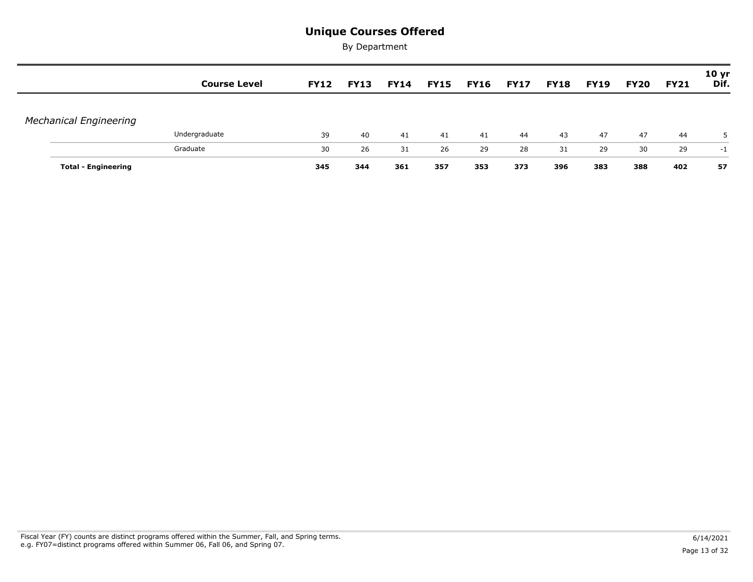|                               | <b>Course Level</b> | <b>FY12</b> | <b>FY13</b> | <b>FY14</b> | <b>FY15</b> | <b>FY16</b> | <b>FY17</b> | <b>FY18</b> | <b>FY19</b> | <b>FY20</b> | <b>FY21</b> | 10 <sub>yr</sub><br>Dif. |
|-------------------------------|---------------------|-------------|-------------|-------------|-------------|-------------|-------------|-------------|-------------|-------------|-------------|--------------------------|
| <b>Mechanical Engineering</b> |                     |             |             |             |             |             |             |             |             |             |             |                          |
|                               | Undergraduate       | 39          | 40          | 41          | 41          | 41          | 44          | 43          | 47          | 47          | 44          | 5.                       |
|                               | Graduate            | 30          | 26          | 31          | 26          | 29          | 28          | 31          | 29          | 30          | 29          | -1                       |
| <b>Total - Engineering</b>    |                     | 345         | 344         | 361         | 357         | 353         | 373         | 396         | 383         | 388         | 402         | 57                       |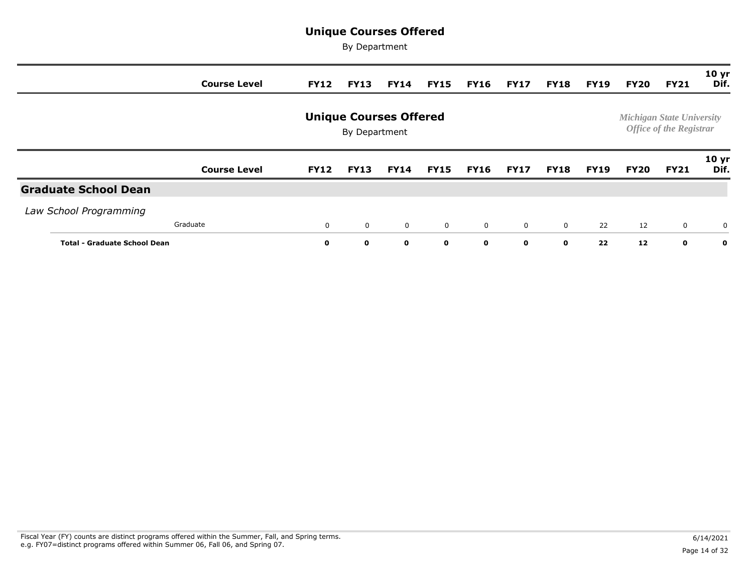|                                     | <b>Course Level</b> | <b>FY12</b> | <b>FY13</b>   | <b>FY14</b>                   | <b>FY15</b>  | <b>FY16</b>    | <b>FY17</b>    | <b>FY18</b>    | <b>FY19</b> | FY20 | <b>FY21</b>                                                        | 10 <sub>yr</sub><br>Dif. |
|-------------------------------------|---------------------|-------------|---------------|-------------------------------|--------------|----------------|----------------|----------------|-------------|------|--------------------------------------------------------------------|--------------------------|
|                                     |                     |             | By Department | <b>Unique Courses Offered</b> |              |                |                |                |             |      | <b>Michigan State University</b><br><b>Office of the Registrar</b> |                          |
|                                     | <b>Course Level</b> | <b>FY12</b> | <b>FY13</b>   | <b>FY14</b>                   | <b>FY15</b>  | <b>FY16</b>    | <b>FY17</b>    | <b>FY18</b>    | <b>FY19</b> | FY20 | <b>FY21</b>                                                        | 10 <sub>yr</sub><br>Dif. |
| <b>Graduate School Dean</b>         |                     |             |               |                               |              |                |                |                |             |      |                                                                    |                          |
| Law School Programming              |                     |             |               |                               |              |                |                |                |             |      |                                                                    |                          |
|                                     | Graduate            | $\mathbf 0$ | $\mathbf 0$   | $\mathbf 0$                   | $\mathbf{0}$ | $\overline{0}$ | $\overline{0}$ | $\overline{0}$ | 22          | 12   | $\mathbf 0$                                                        | $\mathbf 0$              |
| <b>Total - Graduate School Dean</b> |                     | 0           | $\mathbf{o}$  | $\mathbf 0$                   | $\mathbf{o}$ | 0              | $\mathbf{o}$   | $\mathbf{o}$   | 22          | 12   | $\mathbf 0$                                                        | $\mathbf{o}$             |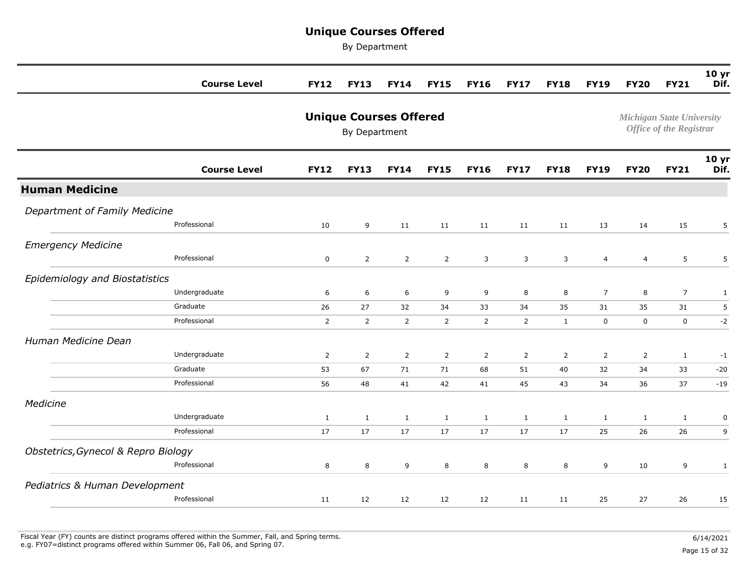By Department

|                                     | <b>Course Level</b> | <b>FY12</b>    | <b>FY13</b>                                    | <b>FY14</b>    | <b>FY15</b>    | <b>FY16</b>    | <b>FY17</b>    | <b>FY18</b>    | <b>FY19</b>    | <b>FY20</b>                      | <b>FY21</b>                    | 10 <sub>yr</sub><br>Dif. |
|-------------------------------------|---------------------|----------------|------------------------------------------------|----------------|----------------|----------------|----------------|----------------|----------------|----------------------------------|--------------------------------|--------------------------|
|                                     |                     |                | <b>Unique Courses Offered</b><br>By Department |                |                |                |                |                |                | <b>Michigan State University</b> | <b>Office of the Registrar</b> |                          |
|                                     | <b>Course Level</b> | <b>FY12</b>    | <b>FY13</b>                                    | <b>FY14</b>    | <b>FY15</b>    | <b>FY16</b>    | <b>FY17</b>    | <b>FY18</b>    | <b>FY19</b>    | <b>FY20</b>                      | <b>FY21</b>                    | 10 <sub>yr</sub><br>Dif. |
| <b>Human Medicine</b>               |                     |                |                                                |                |                |                |                |                |                |                                  |                                |                          |
| Department of Family Medicine       |                     |                |                                                |                |                |                |                |                |                |                                  |                                |                          |
|                                     | Professional        | 10             | 9                                              | 11             | 11             | 11             | 11             | 11             | 13             | 14                               | 15                             | 5                        |
| <b>Emergency Medicine</b>           |                     |                |                                                |                |                |                |                |                |                |                                  |                                |                          |
|                                     | Professional        | $\mathsf 0$    | $\overline{2}$                                 | $\overline{2}$ | $\overline{2}$ | 3              | $\mathbf{3}$   | $\mathbf{3}$   | $\overline{a}$ | $\overline{4}$                   | 5                              | 5                        |
| Epidemiology and Biostatistics      |                     |                |                                                |                |                |                |                |                |                |                                  |                                |                          |
|                                     | Undergraduate       | 6              | 6                                              | 6              | 9              | 9              | 8              | 8              | $\overline{7}$ | 8                                | $\overline{7}$                 | $\mathbf{1}$             |
|                                     | Graduate            | 26             | 27                                             | 32             | 34             | 33             | 34             | 35             | 31             | 35                               | 31                             | 5                        |
|                                     | Professional        | $\overline{2}$ | $\overline{2}$                                 | $\overline{2}$ | $\overline{2}$ | $\overline{2}$ | $\overline{2}$ | $\mathbf{1}$   | 0              | $\mathbf 0$                      | $\mathbf 0$                    | $-2$                     |
| Human Medicine Dean                 |                     |                |                                                |                |                |                |                |                |                |                                  |                                |                          |
|                                     | Undergraduate       | $\overline{2}$ | $\overline{2}$                                 | $\overline{2}$ | $\overline{2}$ | $\overline{2}$ | $\overline{2}$ | $\overline{2}$ | $\overline{2}$ | $\overline{2}$                   | $\mathbf{1}$                   | $-1$                     |
|                                     | Graduate            | 53             | 67                                             | 71             | 71             | 68             | 51             | 40             | 32             | 34                               | 33                             | $-20$                    |
|                                     | Professional        | 56             | 48                                             | 41             | 42             | 41             | 45             | 43             | 34             | 36                               | 37                             | $-19$                    |
| Medicine                            |                     |                |                                                |                |                |                |                |                |                |                                  |                                |                          |
|                                     | Undergraduate       | $\mathbf{1}$   | $\mathbf{1}$                                   | $\mathbf{1}$   | $\mathbf{1}$   | $\mathbf{1}$   | $\mathbf{1}$   | $\mathbf{1}$   | $\mathbf{1}$   | $\mathbf{1}$                     | $\mathbf{1}$                   | $\pmb{0}$                |
|                                     | Professional        | 17             | 17                                             | 17             | 17             | 17             | 17             | 17             | 25             | 26                               | 26                             | 9                        |
| Obstetrics, Gynecol & Repro Biology |                     |                |                                                |                |                |                |                |                |                |                                  |                                |                          |
|                                     | Professional        | 8              | 8                                              | 9              | 8              | 8              | 8              | 8              | 9              | 10                               | 9                              | $\mathbf{1}$             |
| Pediatrics & Human Development      |                     |                |                                                |                |                |                |                |                |                |                                  |                                |                          |
|                                     | Professional        | 11             | 12                                             | 12             | 12             | 12             | 11             | 11             | 25             | 27                               | 26                             | 15                       |
|                                     |                     |                |                                                |                |                |                |                |                |                |                                  |                                |                          |

Fiscal Year (FY) counts are distinct programs offered within the Summer, Fall, and Spring terms.<br>e.g. FY07=distinct programs offered within Summer 06, Fall 06, and Spring 07. e.g. FY07=distinct programs offered within Summer 06, Fall 06, and Spring 07. Page 15 of 32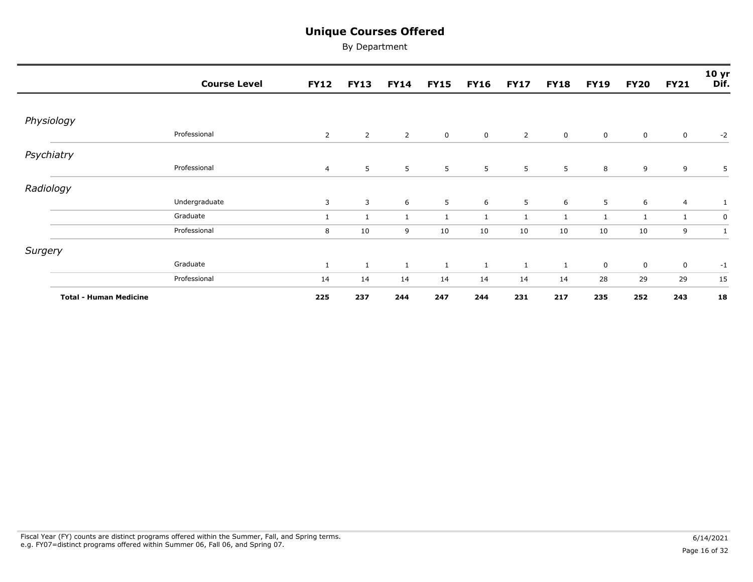|                               | <b>Course Level</b> | <b>FY12</b>    | <b>FY13</b>    | <b>FY14</b>    | <b>FY15</b>    | <b>FY16</b>    | <b>FY17</b>    | <b>FY18</b>  | <b>FY19</b>  | <b>FY20</b>  | <b>FY21</b>    | 10 <sub>yr</sub><br>Dif. |
|-------------------------------|---------------------|----------------|----------------|----------------|----------------|----------------|----------------|--------------|--------------|--------------|----------------|--------------------------|
|                               |                     |                |                |                |                |                |                |              |              |              |                |                          |
| Physiology                    |                     |                |                |                |                |                |                |              |              |              |                |                          |
|                               | Professional        | $\overline{2}$ | $\overline{2}$ | $\overline{2}$ | $\overline{0}$ | $\overline{0}$ | $\overline{2}$ | $\mathbf 0$  | $\mathbf 0$  | $\mathbf 0$  | $\mathbf 0$    | $-2$                     |
| Psychiatry                    |                     |                |                |                |                |                |                |              |              |              |                |                          |
|                               | Professional        | $\overline{4}$ | 5 <sub>5</sub> | 5              | 5              | 5              | 5              | 5            | 8            | 9            | 9              | 5                        |
| Radiology                     |                     |                |                |                |                |                |                |              |              |              |                |                          |
|                               | Undergraduate       | 3              | 3              | 6              | 5              | 6              | 5              | 6            | 5            | 6            | $\overline{4}$ | 1                        |
|                               | Graduate            | $\mathbf{1}$   | $\mathbf{1}$   | $\mathbf{1}$   | $\mathbf{1}$   | $\mathbf{1}$   | 1              | $\mathbf{1}$ | $\mathbf{1}$ | $\mathbf{1}$ | $\mathbf{1}$   | 0                        |
|                               | Professional        | 8              | 10             | 9              | 10             | 10             | 10             | 10           | 10           | 10           | 9              | 1                        |
| Surgery                       |                     |                |                |                |                |                |                |              |              |              |                |                          |
|                               | Graduate            | $\mathbf{1}$   | $\mathbf{1}$   | 1              | $\mathbf{1}$   | $\mathbf{1}$   | $\mathbf{1}$   | $\mathbf{1}$ | $\mathbf 0$  | $\mathbf 0$  | $\mathbf 0$    | $-1$                     |
|                               | Professional        | 14             | 14             | 14             | 14             | 14             | 14             | 14           | 28           | 29           | 29             | 15                       |
| <b>Total - Human Medicine</b> |                     | 225            | 237            | 244            | 247            | 244            | 231            | 217          | 235          | 252          | 243            | 18                       |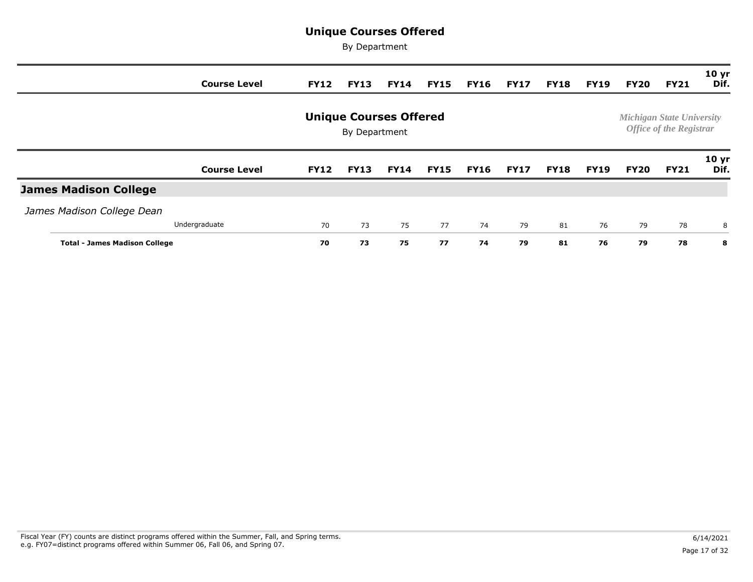|                                      | <b>Course Level</b> | <b>FY12</b> | <b>FY13</b>   | <b>FY14</b>                   | <b>FY15</b> | <b>FY16</b> | <b>FY17</b> | <b>FY18</b> | <b>FY19</b> | FY20        | <b>FY21</b>                                                        | 10 <sub>yr</sub><br>Dif. |
|--------------------------------------|---------------------|-------------|---------------|-------------------------------|-------------|-------------|-------------|-------------|-------------|-------------|--------------------------------------------------------------------|--------------------------|
|                                      |                     |             | By Department | <b>Unique Courses Offered</b> |             |             |             |             |             |             | <b>Michigan State University</b><br><b>Office of the Registrar</b> |                          |
|                                      | <b>Course Level</b> | <b>FY12</b> | <b>FY13</b>   | <b>FY14</b>                   | <b>FY15</b> | <b>FY16</b> | <b>FY17</b> | <b>FY18</b> | <b>FY19</b> | <b>FY20</b> | <b>FY21</b>                                                        | 10 <sub>yr</sub><br>Dif. |
| <b>James Madison College</b>         |                     |             |               |                               |             |             |             |             |             |             |                                                                    |                          |
| James Madison College Dean           |                     |             |               |                               |             |             |             |             |             |             |                                                                    |                          |
|                                      | Undergraduate       | 70          | 73            | 75                            | 77          | 74          | 79          | 81          | 76          | 79          | 78                                                                 | 8                        |
| <b>Total - James Madison College</b> |                     | 70          | 73            | 75                            | 77          | 74          | 79          | 81          | 76          | 79          | 78                                                                 | 8                        |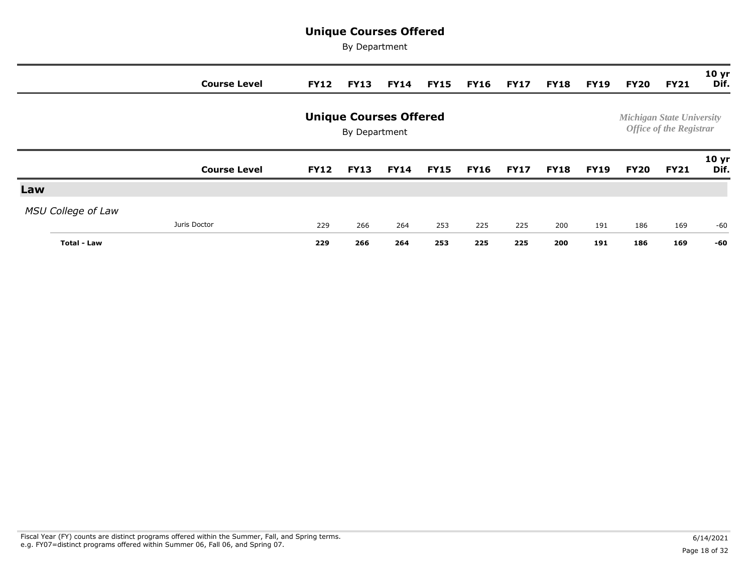|                           | <b>Course Level</b> | <b>FY12</b> | <b>FY13</b>                                    |             | <b>FY14 FY15</b> | <b>FY16</b> | <b>FY17</b> | <b>FY18</b> | <b>FY19</b> | <b>FY20</b> | <b>FY21</b>                                                        | 10 <sub>yr</sub><br>Dif. |
|---------------------------|---------------------|-------------|------------------------------------------------|-------------|------------------|-------------|-------------|-------------|-------------|-------------|--------------------------------------------------------------------|--------------------------|
|                           |                     |             | <b>Unique Courses Offered</b><br>By Department |             |                  |             |             |             |             |             | <b>Michigan State University</b><br><b>Office of the Registrar</b> |                          |
|                           | <b>Course Level</b> | <b>FY12</b> | <b>FY13</b>                                    | <b>FY14</b> | <b>FY15</b>      | <b>FY16</b> | <b>FY17</b> | <b>FY18</b> | <b>FY19</b> | <b>FY20</b> | <b>FY21</b>                                                        | 10 <sub>yr</sub><br>Dif. |
| Law                       |                     |             |                                                |             |                  |             |             |             |             |             |                                                                    |                          |
| <b>MSU College of Law</b> |                     |             |                                                |             |                  |             |             |             |             |             |                                                                    |                          |
|                           | Juris Doctor        | 229         | 266                                            | 264         | 253              | 225         | 225         | 200         | 191         | 186         | 169                                                                | $-60$                    |
| Total - Law               |                     | 229         | 266                                            | 264         | 253              | 225         | 225         | 200         | 191         | 186         | 169                                                                | -60                      |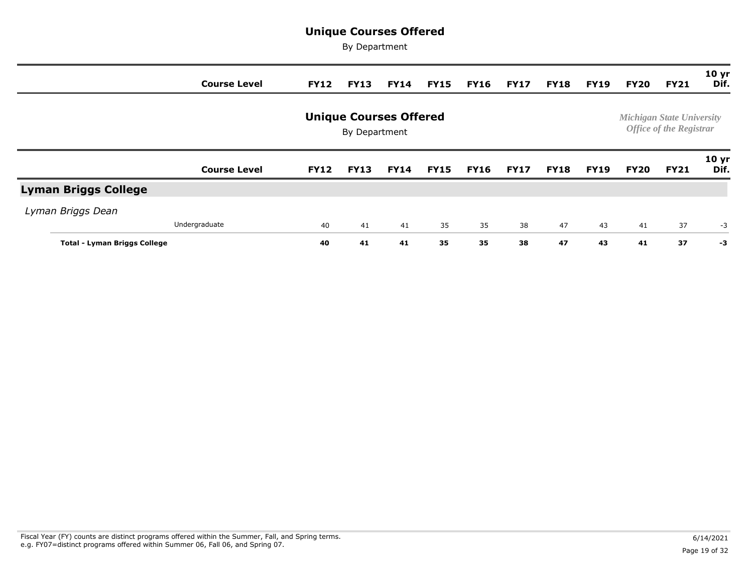|                                     | <b>Course Level</b> | <b>FY12</b> | <b>FY13</b>                                    | <b>FY14</b> | <b>FY15</b> | <b>FY16</b> | <b>FY17</b> | <b>FY18</b> | <b>FY19</b> | <b>FY20</b> | <b>FY21</b>                                                        | 10 <sub>yr</sub><br>Dif. |
|-------------------------------------|---------------------|-------------|------------------------------------------------|-------------|-------------|-------------|-------------|-------------|-------------|-------------|--------------------------------------------------------------------|--------------------------|
|                                     |                     |             | <b>Unique Courses Offered</b><br>By Department |             |             |             |             |             |             |             | <b>Michigan State University</b><br><b>Office of the Registrar</b> |                          |
|                                     | <b>Course Level</b> | <b>FY12</b> | <b>FY13</b>                                    | <b>FY14</b> | <b>FY15</b> | <b>FY16</b> | <b>FY17</b> | <b>FY18</b> | <b>FY19</b> | <b>FY20</b> | <b>FY21</b>                                                        | 10 <sub>yr</sub><br>Dif. |
| <b>Lyman Briggs College</b>         |                     |             |                                                |             |             |             |             |             |             |             |                                                                    |                          |
| Lyman Briggs Dean                   |                     |             |                                                |             |             |             |             |             |             |             |                                                                    |                          |
|                                     | Undergraduate       | 40          | 41                                             | 41          | 35          | 35          | 38          | 47          | 43          | 41          | 37                                                                 | $-3$                     |
| <b>Total - Lyman Briggs College</b> |                     | 40          | 41                                             | 41          | 35          | 35          | 38          | 47          | 43          | 41          | 37                                                                 | -3                       |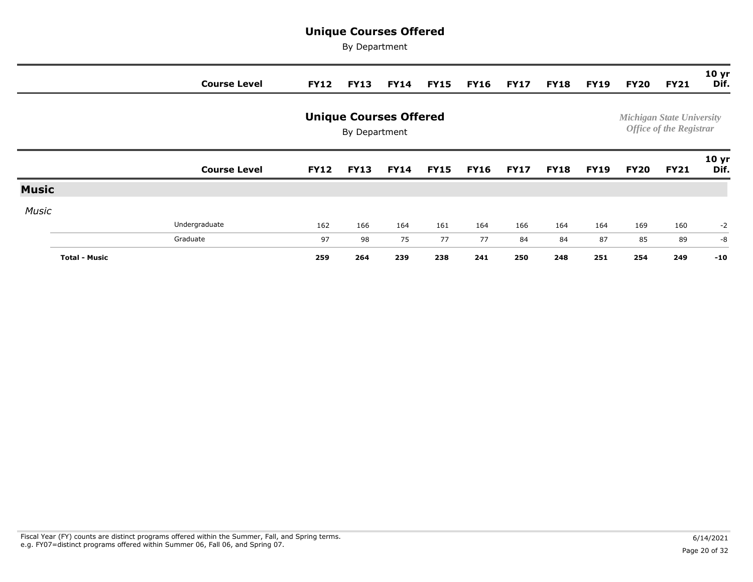|              |                      | <b>Course Level</b> | <b>FY12</b> | <b>FY13</b>                                    | <b>FY14</b> | <b>FY15</b> | <b>FY16</b> | <b>FY17</b> | <b>FY18</b> | <b>FY19</b> | <b>FY20</b> | <b>FY21</b>                                                        | 10 <sub>yr</sub><br>Dif. |
|--------------|----------------------|---------------------|-------------|------------------------------------------------|-------------|-------------|-------------|-------------|-------------|-------------|-------------|--------------------------------------------------------------------|--------------------------|
|              |                      |                     |             | <b>Unique Courses Offered</b><br>By Department |             |             |             |             |             |             |             | <b>Michigan State University</b><br><b>Office of the Registrar</b> |                          |
|              |                      | <b>Course Level</b> | <b>FY12</b> | <b>FY13</b>                                    | <b>FY14</b> | <b>FY15</b> | <b>FY16</b> | <b>FY17</b> | <b>FY18</b> | <b>FY19</b> | <b>FY20</b> | <b>FY21</b>                                                        | 10 <sub>yr</sub><br>Dif. |
| <b>Music</b> |                      |                     |             |                                                |             |             |             |             |             |             |             |                                                                    |                          |
| <b>Music</b> |                      |                     |             |                                                |             |             |             |             |             |             |             |                                                                    |                          |
|              |                      | Undergraduate       | 162         | 166                                            | 164         | 161         | 164         | 166         | 164         | 164         | 169         | 160                                                                | $-2$                     |
|              |                      | Graduate            | 97          | 98                                             | 75          | 77          | 77          | 84          | 84          | 87          | 85          | 89                                                                 | $-8$                     |
|              | <b>Total - Music</b> |                     | 259         | 264                                            | 239         | 238         | 241         | 250         | 248         | 251         | 254         | 249                                                                | $-10$                    |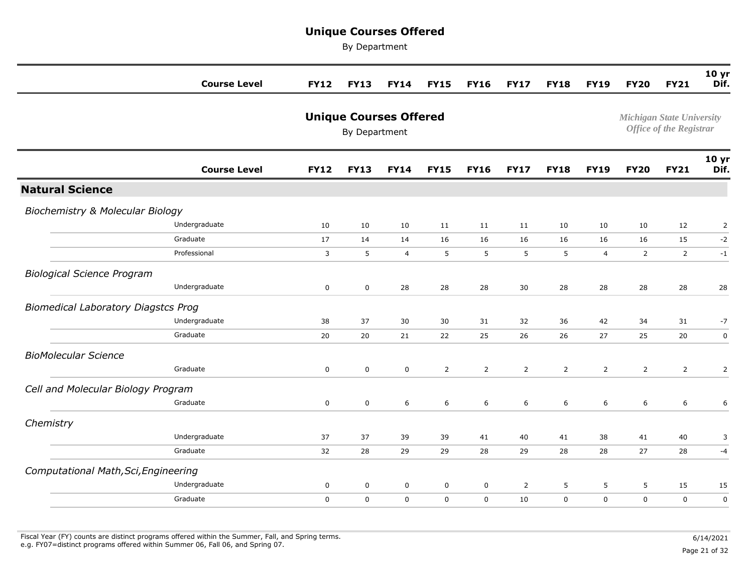|                                             | <b>Course Level</b> | <b>FY12</b> | <b>FY13</b>                                    | <b>FY14</b>    | <b>FY15</b>    | <b>FY16</b>    | <b>FY17</b>    | <b>FY18</b>    | <b>FY19</b>      | <b>FY20</b>    | <b>FY21</b>                                                        | 10 <sub>yr</sub><br>Dif. |
|---------------------------------------------|---------------------|-------------|------------------------------------------------|----------------|----------------|----------------|----------------|----------------|------------------|----------------|--------------------------------------------------------------------|--------------------------|
|                                             |                     |             | <b>Unique Courses Offered</b><br>By Department |                |                |                |                |                |                  |                | <b>Michigan State University</b><br><b>Office of the Registrar</b> |                          |
|                                             | <b>Course Level</b> | <b>FY12</b> | <b>FY13</b>                                    | <b>FY14</b>    | <b>FY15</b>    | <b>FY16</b>    | <b>FY17</b>    | <b>FY18</b>    | <b>FY19</b>      | <b>FY20</b>    | <b>FY21</b>                                                        | 10 <sub>yr</sub><br>Dif. |
| <b>Natural Science</b>                      |                     |             |                                                |                |                |                |                |                |                  |                |                                                                    |                          |
| <b>Biochemistry &amp; Molecular Biology</b> |                     |             |                                                |                |                |                |                |                |                  |                |                                                                    |                          |
|                                             | Undergraduate       | 10          | 10                                             | 10             | 11             | 11             | 11             | 10             | 10               | 10             | 12                                                                 | $\overline{2}$           |
|                                             | Graduate            | 17          | 14                                             | 14             | 16             | 16             | 16             | 16             | 16               | 16             | 15                                                                 | $-2$                     |
|                                             | Professional        | 3           | 5                                              | $\overline{4}$ | 5              | 5              | 5              | 5              | $\overline{4}$   | $\overline{2}$ | $\overline{2}$                                                     | $-1$                     |
| <b>Biological Science Program</b>           |                     |             |                                                |                |                |                |                |                |                  |                |                                                                    |                          |
|                                             | Undergraduate       | $\mathsf 0$ | $\pmb{0}$                                      | 28             | 28             | 28             | 30             | 28             | 28               | 28             | 28                                                                 | 28                       |
| <b>Biomedical Laboratory Diagstcs Prog</b>  |                     |             |                                                |                |                |                |                |                |                  |                |                                                                    |                          |
|                                             | Undergraduate       | 38          | 37                                             | 30             | 30             | 31             | 32             | 36             | 42               | 34             | 31                                                                 | $-7$                     |
|                                             | Graduate            | 20          | 20                                             | 21             | 22             | 25             | 26             | 26             | 27               | 25             | 20                                                                 | $\mathbf 0$              |
| <b>BioMolecular Science</b>                 |                     |             |                                                |                |                |                |                |                |                  |                |                                                                    |                          |
|                                             | Graduate            | $\mathbf 0$ | $\mathsf 0$                                    | $\mathbf 0$    | $\overline{2}$ | $\overline{2}$ | $\overline{2}$ | $\overline{2}$ | $\overline{2}$   | $\overline{2}$ | $\overline{2}$                                                     | $\mathsf{2}$             |
| Cell and Molecular Biology Program          |                     |             |                                                |                |                |                |                |                |                  |                |                                                                    |                          |
|                                             | Graduate            | $\mathbf 0$ | $\pmb{0}$                                      | 6              | 6              | 6              | 6              | 6              | $\boldsymbol{6}$ | 6              | 6                                                                  | 6                        |
| Chemistry                                   |                     |             |                                                |                |                |                |                |                |                  |                |                                                                    |                          |
|                                             | Undergraduate       | 37          | 37                                             | 39             | 39             | 41             | 40             | 41             | 38               | 41             | 40                                                                 | 3                        |
|                                             | Graduate            | 32          | 28                                             | 29             | 29             | 28             | 29             | 28             | 28               | 27             | 28                                                                 | $-4$                     |
| Computational Math, Sci, Engineering        |                     |             |                                                |                |                |                |                |                |                  |                |                                                                    |                          |
|                                             | Undergraduate       | $\mathbf 0$ | $\mathsf 0$                                    | $\mathbf 0$    | $\mathsf 0$    | 0              | $\overline{2}$ | 5              | $\sqrt{5}$       | 5              | 15                                                                 | 15                       |
|                                             | Graduate            | $\mathbf 0$ | $\pmb{0}$                                      | $\mathbf 0$    | $\mathbf 0$    | 0              | 10             | $\mathbf 0$    | $\mathbf 0$      | $\mathbf 0$    | $\mathsf 0$                                                        | $\pmb{0}$                |
|                                             |                     |             |                                                |                |                |                |                |                |                  |                |                                                                    |                          |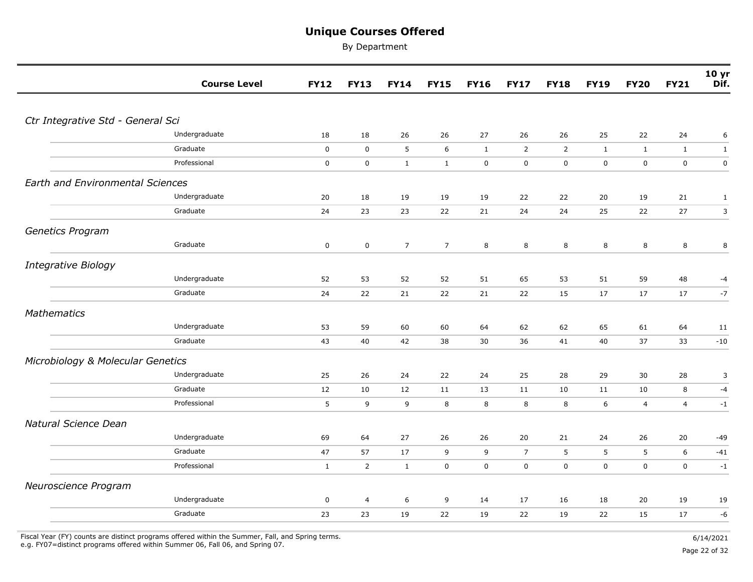By Department

|                                         | <b>Course Level</b> | <b>FY12</b>  | <b>FY13</b>    | <b>FY14</b>    | <b>FY15</b>    | <b>FY16</b>  | <b>FY17</b>    | <b>FY18</b>    | <b>FY19</b>  | <b>FY20</b>  | <b>FY21</b>    | 10 <sub>yr</sub><br>Dif. |
|-----------------------------------------|---------------------|--------------|----------------|----------------|----------------|--------------|----------------|----------------|--------------|--------------|----------------|--------------------------|
|                                         |                     |              |                |                |                |              |                |                |              |              |                |                          |
| Ctr Integrative Std - General Sci       |                     |              |                |                |                |              |                |                |              |              |                |                          |
|                                         | Undergraduate       | 18           | 18             | 26             | 26             | 27           | 26             | 26             | 25           | 22           | 24             | 6                        |
|                                         | Graduate            | $\mathbf 0$  | $\mathbf 0$    | $\sqrt{5}$     | 6              | $\mathbf{1}$ | $\overline{2}$ | $\overline{2}$ | $\mathbf{1}$ | $\mathbf{1}$ | $\mathbf{1}$   | $\mathbf{1}$             |
|                                         | Professional        | $\mathbf 0$  | $\mathbf 0$    | $\mathbf{1}$   | $\mathbf{1}$   | $\mathbf 0$  | $\mathsf 0$    | $\mathbf 0$    | $\mathbf 0$  | $\mathbf 0$  | $\mathbf 0$    | $\pmb{0}$                |
| <b>Earth and Environmental Sciences</b> |                     |              |                |                |                |              |                |                |              |              |                |                          |
|                                         | Undergraduate       | 20           | 18             | 19             | 19             | 19           | 22             | 22             | 20           | 19           | 21             | $\mathbf{1}$             |
|                                         | Graduate            | 24           | 23             | 23             | 22             | 21           | 24             | 24             | 25           | 22           | 27             | $\mathsf{3}$             |
| Genetics Program                        |                     |              |                |                |                |              |                |                |              |              |                |                          |
|                                         | Graduate            | $\mathbf 0$  | $\mathbf 0$    | $\overline{7}$ | $\overline{7}$ | 8            | $\,8\,$        | 8              | 8            | 8            | 8              | $\,8\,$                  |
| <b>Integrative Biology</b>              |                     |              |                |                |                |              |                |                |              |              |                |                          |
|                                         | Undergraduate       | 52           | 53             | 52             | 52             | 51           | 65             | 53             | 51           | 59           | 48             | -4                       |
|                                         | Graduate            | 24           | 22             | 21             | 22             | 21           | 22             | 15             | 17           | 17           | 17             | $-7$                     |
| Mathematics                             |                     |              |                |                |                |              |                |                |              |              |                |                          |
|                                         | Undergraduate       | 53           | 59             | 60             | 60             | 64           | 62             | 62             | 65           | 61           | 64             | 11                       |
|                                         | Graduate            | 43           | 40             | 42             | 38             | 30           | 36             | 41             | 40           | 37           | 33             | $-10$                    |
| Microbiology & Molecular Genetics       |                     |              |                |                |                |              |                |                |              |              |                |                          |
|                                         | Undergraduate       | 25           | 26             | 24             | 22             | 24           | 25             | 28             | 29           | $30\,$       | 28             | 3                        |
|                                         | Graduate            | 12           | 10             | 12             | 11             | 13           | 11             | 10             | 11           | 10           | 8              | $-4$                     |
|                                         | Professional        | 5            | 9              | 9              | 8              | 8            | 8              | 8              | 6            | 4            | $\overline{4}$ | $-1$                     |
| Natural Science Dean                    |                     |              |                |                |                |              |                |                |              |              |                |                          |
|                                         | Undergraduate       | 69           | 64             | 27             | 26             | 26           | 20             | 21             | 24           | 26           | 20             | $-49$                    |
|                                         | Graduate            | 47           | 57             | 17             | 9              | 9            | $\overline{7}$ | 5              | 5            | 5            | 6              | $-41$                    |
|                                         | Professional        | $\mathbf{1}$ | $\overline{2}$ | $\mathbf{1}$   | $\mathbf 0$    | $\mathbf 0$  | $\mathbf 0$    | $\mathbf 0$    | $\mathbf 0$  | $\mathbf 0$  | $\mathbf 0$    | $-1$                     |
| Neuroscience Program                    |                     |              |                |                |                |              |                |                |              |              |                |                          |
|                                         | Undergraduate       | $\pmb{0}$    | $\overline{4}$ | 6              | 9              | 14           | 17             | 16             | 18           | 20           | 19             | 19                       |
|                                         | Graduate            | 23           | 23             | 19             | 22             | 19           | 22             | 19             | 22           | 15           | 17             | -6                       |
|                                         |                     |              |                |                |                |              |                |                |              |              |                |                          |

Fiscal Year (FY) counts are distinct programs offered within the Summer, Fall, and Spring terms.<br>e.g. FY07=distinct programs offered within Summer 06, Fall 06, and Spring 07. e.g. FY07=distinct programs offered within Summer 06, Fall 06, and Spring 07. Page 22 of 32 page 22 of 32 of 32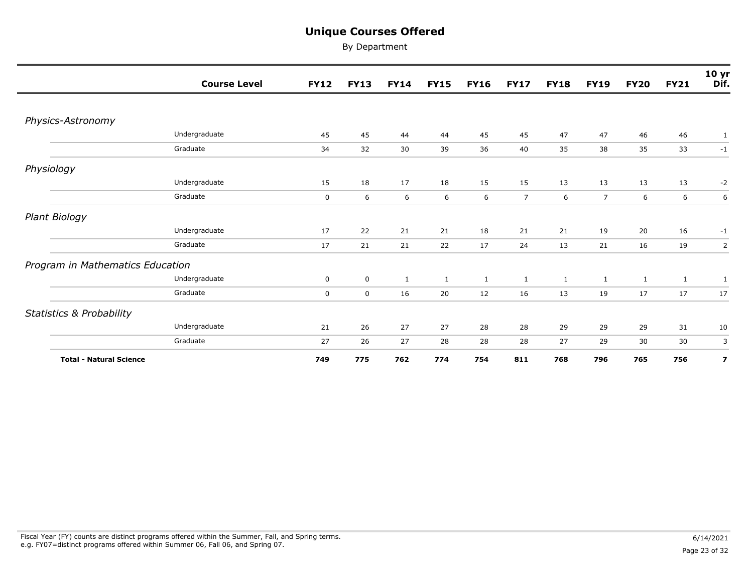|                                     | <b>Course Level</b> | <b>FY12</b> | <b>FY13</b> | <b>FY14</b>  | <b>FY15</b>  | <b>FY16</b>  | <b>FY17</b>    | <b>FY18</b>  | <b>FY19</b>    | <b>FY20</b>  | <b>FY21</b>  | 10 <sub>yr</sub><br>Dif. |
|-------------------------------------|---------------------|-------------|-------------|--------------|--------------|--------------|----------------|--------------|----------------|--------------|--------------|--------------------------|
|                                     |                     |             |             |              |              |              |                |              |                |              |              |                          |
| Physics-Astronomy                   |                     |             |             |              |              |              |                |              |                |              |              |                          |
|                                     | Undergraduate       | 45          | 45          | 44           | 44           | 45           | 45             | 47           | 47             | 46           | 46           | 1                        |
|                                     | Graduate            | 34          | 32          | 30           | 39           | 36           | 40             | 35           | 38             | 35           | 33           | $-1$                     |
| Physiology                          |                     |             |             |              |              |              |                |              |                |              |              |                          |
|                                     | Undergraduate       | 15          | 18          | 17           | 18           | 15           | 15             | 13           | 13             | 13           | 13           | $-2$                     |
|                                     | Graduate            | $\mathbf 0$ | 6           | 6            | 6            | 6            | $\overline{7}$ | 6            | $\overline{7}$ | 6            | 6            | 6                        |
| Plant Biology                       |                     |             |             |              |              |              |                |              |                |              |              |                          |
|                                     | Undergraduate       | 17          | 22          | 21           | 21           | 18           | 21             | 21           | 19             | 20           | 16           | $-1$                     |
|                                     | Graduate            | 17          | 21          | 21           | 22           | 17           | 24             | 13           | 21             | 16           | 19           | $\overline{2}$           |
| Program in Mathematics Education    |                     |             |             |              |              |              |                |              |                |              |              |                          |
|                                     | Undergraduate       | $\mathbf 0$ | $\mathbf 0$ | $\mathbf{1}$ | $\mathbf{1}$ | $\mathbf{1}$ | $\mathbf{1}$   | $\mathbf{1}$ | $\mathbf{1}$   | $\mathbf{1}$ | $\mathbf{1}$ | 1                        |
|                                     | Graduate            | $\mathbf 0$ | $\mathbf 0$ | 16           | 20           | 12           | 16             | 13           | 19             | 17           | 17           | 17                       |
| <b>Statistics &amp; Probability</b> |                     |             |             |              |              |              |                |              |                |              |              |                          |
|                                     | Undergraduate       | 21          | 26          | 27           | 27           | 28           | 28             | 29           | 29             | 29           | 31           | 10                       |
|                                     | Graduate            | 27          | 26          | 27           | 28           | 28           | 28             | 27           | 29             | 30           | 30           | 3                        |
| <b>Total - Natural Science</b>      |                     | 749         | 775         | 762          | 774          | 754          | 811            | 768          | 796            | 765          | 756          | $\overline{\mathbf{z}}$  |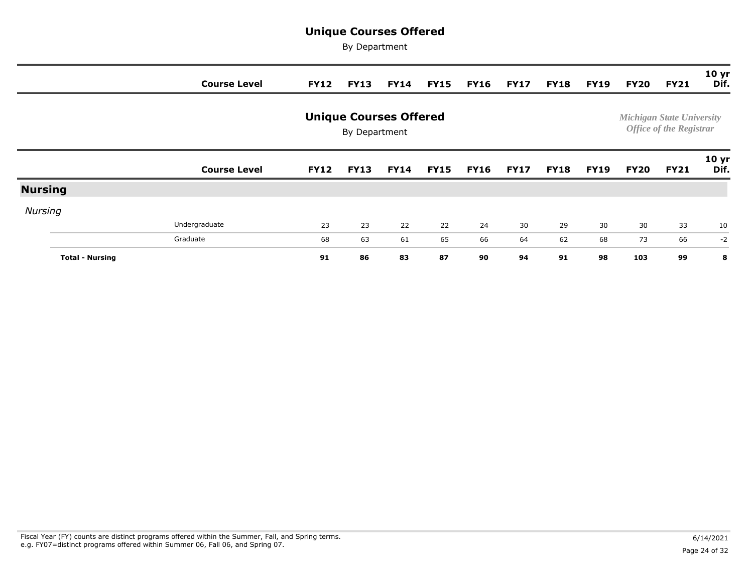|                |                        | <b>Course Level</b> | <b>FY12</b> | <b>FY13</b>                                    | <b>FY14</b> | <b>FY15</b> | <b>FY16</b> | <b>FY17</b> | <b>FY18</b> | <b>FY19</b> | <b>FY20</b> | <b>FY21</b>                                                        | 10 <sub>yr</sub><br>Dif. |
|----------------|------------------------|---------------------|-------------|------------------------------------------------|-------------|-------------|-------------|-------------|-------------|-------------|-------------|--------------------------------------------------------------------|--------------------------|
|                |                        |                     |             | <b>Unique Courses Offered</b><br>By Department |             |             |             |             |             |             |             | <b>Michigan State University</b><br><b>Office of the Registrar</b> |                          |
|                |                        | <b>Course Level</b> | <b>FY12</b> | <b>FY13</b>                                    | <b>FY14</b> | <b>FY15</b> | <b>FY16</b> | <b>FY17</b> | <b>FY18</b> | <b>FY19</b> | <b>FY20</b> | <b>FY21</b>                                                        | 10 <sub>yr</sub><br>Dif. |
| <b>Nursing</b> |                        |                     |             |                                                |             |             |             |             |             |             |             |                                                                    |                          |
| <b>Nursing</b> |                        |                     |             |                                                |             |             |             |             |             |             |             |                                                                    |                          |
|                |                        | Undergraduate       | 23          | 23                                             | 22          | 22          | 24          | 30          | 29          | 30          | 30          | 33                                                                 | 10                       |
|                |                        | Graduate            | 68          | 63                                             | 61          | 65          | 66          | 64          | 62          | 68          | 73          | 66                                                                 | $-2$                     |
|                | <b>Total - Nursing</b> |                     | 91          | 86                                             | 83          | 87          | 90          | 94          | 91          | 98          | 103         | 99                                                                 | 8                        |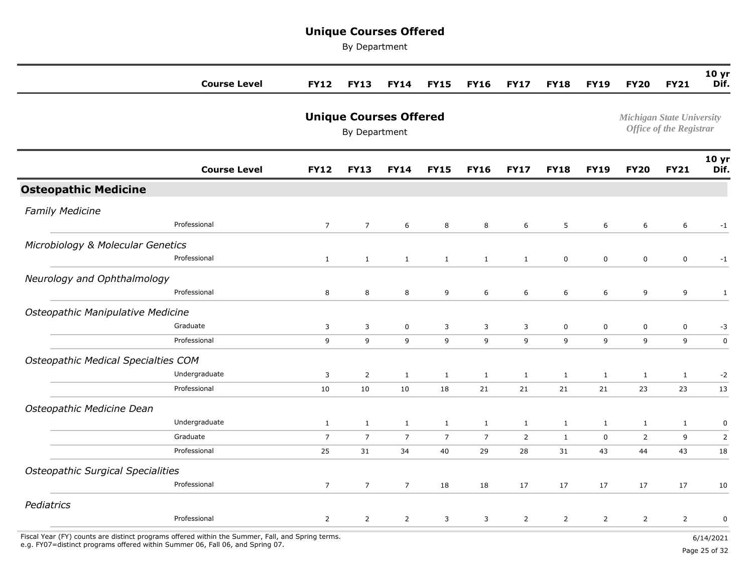By Department

|                                                                                                                                                                                   | <b>Course Level</b> | <b>FY12</b>    | <b>FY13</b>                                    | <b>FY14</b>     | <b>FY15</b>    | <b>FY16</b>    | <b>FY17</b>    | <b>FY18</b>    | <b>FY19</b>    | <b>FY20</b>                      | <b>FY21</b>                    | 10 <sub>yr</sub><br>Dif. |
|-----------------------------------------------------------------------------------------------------------------------------------------------------------------------------------|---------------------|----------------|------------------------------------------------|-----------------|----------------|----------------|----------------|----------------|----------------|----------------------------------|--------------------------------|--------------------------|
|                                                                                                                                                                                   |                     |                | <b>Unique Courses Offered</b><br>By Department |                 |                |                |                |                |                | <b>Michigan State University</b> | <b>Office of the Registrar</b> |                          |
|                                                                                                                                                                                   | <b>Course Level</b> | <b>FY12</b>    | <b>FY13</b>                                    | <b>FY14</b>     | <b>FY15</b>    | <b>FY16</b>    | <b>FY17</b>    | <b>FY18</b>    | <b>FY19</b>    | <b>FY20</b>                      | <b>FY21</b>                    | 10 <sub>yr</sub><br>Dif. |
| <b>Osteopathic Medicine</b>                                                                                                                                                       |                     |                |                                                |                 |                |                |                |                |                |                                  |                                |                          |
| <b>Family Medicine</b>                                                                                                                                                            | Professional        | $\overline{7}$ | $\overline{7}$                                 | 6               | 8              | 8              | 6              | 5              | 6              | 6                                | 6                              | $-1$                     |
| Microbiology & Molecular Genetics                                                                                                                                                 |                     |                |                                                |                 |                |                |                |                |                |                                  |                                |                          |
|                                                                                                                                                                                   | Professional        | $\mathbf{1}$   | $\mathbf{1}$                                   | $\mathbf{1}$    | $\mathbf{1}$   | $\mathbf{1}$   | $\mathbf{1}$   | $\mathbf 0$    | $\pmb{0}$      | $\mathbf 0$                      | $\mathbf 0$                    | $-1$                     |
| Neurology and Ophthalmology                                                                                                                                                       |                     |                |                                                |                 |                |                |                |                |                |                                  |                                |                          |
|                                                                                                                                                                                   | Professional        | 8              | $\bf 8$                                        | 8               | 9              | 6              | 6              | 6              | 6              | 9                                | 9                              | $\mathbf{1}$             |
| Osteopathic Manipulative Medicine                                                                                                                                                 |                     |                |                                                |                 |                |                |                |                |                |                                  |                                |                          |
|                                                                                                                                                                                   | Graduate            | 3              | 3                                              | $\mathbf 0$     | 3              | 3              | 3              | $\mathbf 0$    | $\pmb{0}$      | $\mathsf 0$                      | $\mathsf 0$                    | $-3$                     |
|                                                                                                                                                                                   | Professional        | 9              | 9                                              | 9               | 9              | 9              | 9              | 9              | 9              | 9                                | 9                              | $\pmb{0}$                |
| <b>Osteopathic Medical Specialties COM</b>                                                                                                                                        |                     |                |                                                |                 |                |                |                |                |                |                                  |                                |                          |
|                                                                                                                                                                                   | Undergraduate       | 3              | $\overline{2}$                                 | $\mathbf{1}$    | $\mathbf{1}$   | $\mathbf{1}$   | $\mathbf{1}$   | $\mathbf{1}$   | $\mathbf{1}$   | $\mathbf{1}$                     | $\mathbf{1}$                   | $-2$                     |
|                                                                                                                                                                                   | Professional        | 10             | 10                                             | 10              | 18             | 21             | 21             | 21             | 21             | 23                               | 23                             | 13                       |
| Osteopathic Medicine Dean                                                                                                                                                         |                     |                |                                                |                 |                |                |                |                |                |                                  |                                |                          |
|                                                                                                                                                                                   | Undergraduate       | $\mathbf{1}$   | $\mathbf{1}$                                   | $\mathbf{1}$    | $\mathbf{1}$   | $\mathbf{1}$   | $\mathbf{1}$   | $\mathbf{1}$   | $\mathbf{1}$   | $\mathbf{1}$                     | $\mathbf{1}$                   | 0                        |
|                                                                                                                                                                                   | Graduate            | $\overline{7}$ | $\overline{7}$                                 | $\overline{7}$  | $\overline{7}$ | $\overline{7}$ | $\overline{2}$ | $\mathbf{1}$   | $\mathbf 0$    | $\overline{2}$                   | 9                              | $\mathsf{2}$             |
|                                                                                                                                                                                   | Professional        | 25             | 31                                             | 34              | 40             | 29             | 28             | 31             | 43             | 44                               | 43                             | 18                       |
| <b>Osteopathic Surgical Specialities</b>                                                                                                                                          |                     |                |                                                |                 |                |                |                |                |                |                                  |                                |                          |
|                                                                                                                                                                                   | Professional        | $\overline{7}$ | $\overline{7}$                                 | $7\overline{ }$ | 18             | 18             | 17             | 17             | 17             | 17                               | 17                             | 10                       |
| Pediatrics                                                                                                                                                                        |                     |                |                                                |                 |                |                |                |                |                |                                  |                                |                          |
|                                                                                                                                                                                   | Professional        | $\overline{2}$ | $\overline{2}$                                 | $\overline{2}$  | 3              | 3              | $\overline{2}$ | $\overline{2}$ | $\overline{2}$ | $\overline{2}$                   | $\overline{2}$                 | $\pmb{0}$                |
| Fiscal Year (FY) counts are distinct programs offered within the Summer, Fall, and Spring terms.<br>e.g. FY07=distinct programs offered within Summer 06, Fall 06, and Spring 07. |                     |                |                                                |                 |                |                |                |                |                |                                  |                                | 6/14/2021                |

e.g. FY07=distinct programs offered within Summer 06, Fall 06, and Spring 07. Page 25 of 32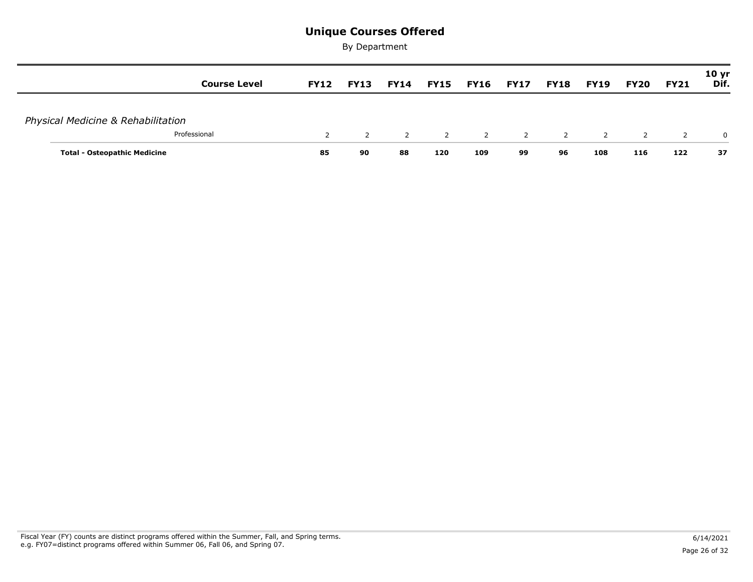| <b>Course Level</b>                 | <b>FY12</b>   | <b>FY13</b>    | <b>FY14</b>    | <b>FY15 FY16</b> |                | FY17           | FY18           | FY19           | <b>FY20</b>    | <b>FY21</b>    | <b>10 yr</b><br>Dif. |
|-------------------------------------|---------------|----------------|----------------|------------------|----------------|----------------|----------------|----------------|----------------|----------------|----------------------|
| Physical Medicine & Rehabilitation  |               |                |                |                  |                |                |                |                |                |                |                      |
| Professional                        | $\mathcal{P}$ | $\overline{2}$ | $\overline{2}$ | $\overline{2}$   | $\overline{2}$ | $\overline{2}$ | $\overline{2}$ | $\overline{2}$ | $\overline{2}$ | $\overline{2}$ | $\mathbf{0}$         |
| <b>Total - Osteopathic Medicine</b> | 85            | 90             | 88             | 120              | 109            | 99             | 96             | 108            | 116            | 122            | 37                   |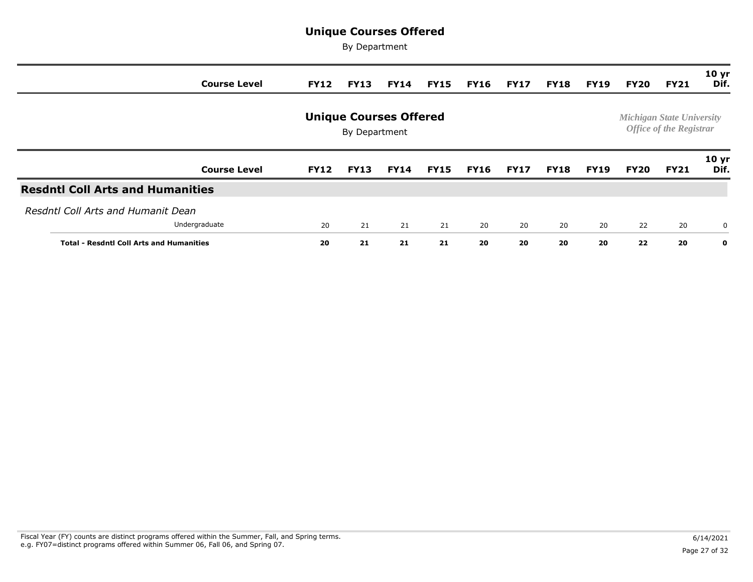| <b>Course Level</b>                             | <b>FY12</b> | <b>FY13</b> | <b>FY14</b> | <b>FY15</b> | <b>FY16</b> | <b>FY17</b> | <b>FY18</b> | <b>FY19</b> | FY20        | <b>FY21</b> | 10 <sub>yr</sub><br>Dif. |  |
|-------------------------------------------------|-------------|-------------|-------------|-------------|-------------|-------------|-------------|-------------|-------------|-------------|--------------------------|--|
| <b>Unique Courses Offered</b><br>By Department  |             |             |             |             |             |             |             |             |             |             |                          |  |
| <b>Course Level</b>                             | <b>FY12</b> | <b>FY13</b> | <b>FY14</b> | <b>FY15</b> | <b>FY16</b> | <b>FY17</b> | <b>FY18</b> | <b>FY19</b> | <b>FY20</b> | <b>FY21</b> | 10 <sub>yr</sub><br>Dif. |  |
| <b>Resdntl Coll Arts and Humanities</b>         |             |             |             |             |             |             |             |             |             |             |                          |  |
| Resdntl Coll Arts and Humanit Dean              |             |             |             |             |             |             |             |             |             |             |                          |  |
| Undergraduate                                   | 20          | 21          | 21          | 21          | 20          | 20          | 20          | 20          | 22          | 20          | 0                        |  |
| <b>Total - Resdntl Coll Arts and Humanities</b> |             | 21          | 21          | 21          | 20          | 20          | 20          | 20          | 22          | 20          | $\mathbf{o}$             |  |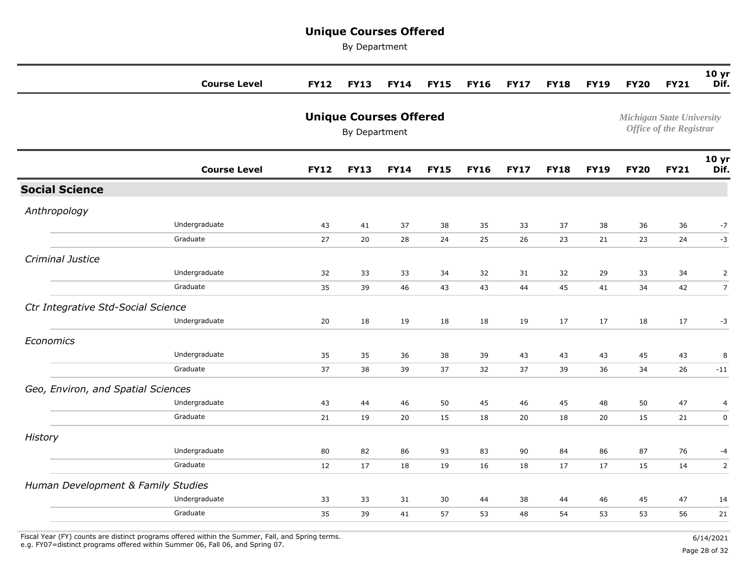By Department

|                                    | <b>Course Level</b>       | <b>FY12</b> | <b>FY13</b>                                    | <b>FY14</b> | <b>FY15</b> | <b>FY16</b> | <b>FY17</b> | <b>FY18</b> | <b>FY19</b> | <b>FY20</b>                      | <b>FY21</b>                    | 10 yr<br>Dif.                         |
|------------------------------------|---------------------------|-------------|------------------------------------------------|-------------|-------------|-------------|-------------|-------------|-------------|----------------------------------|--------------------------------|---------------------------------------|
|                                    |                           |             | <b>Unique Courses Offered</b><br>By Department |             |             |             |             |             |             | <b>Michigan State University</b> | <b>Office of the Registrar</b> |                                       |
|                                    | <b>Course Level</b>       | <b>FY12</b> | <b>FY13</b>                                    | <b>FY14</b> | <b>FY15</b> | <b>FY16</b> | <b>FY17</b> | <b>FY18</b> | <b>FY19</b> | <b>FY20</b>                      | <b>FY21</b>                    | 10 yr<br>Dif.                         |
| <b>Social Science</b>              |                           |             |                                                |             |             |             |             |             |             |                                  |                                |                                       |
| Anthropology                       |                           |             |                                                |             |             |             |             |             |             |                                  |                                |                                       |
|                                    | Undergraduate<br>Graduate | 43<br>27    | 41<br>20                                       | 37<br>28    | 38<br>24    | 35<br>25    | 33<br>26    | 37<br>23    | 38<br>21    | 36<br>23                         | 36<br>24                       | $-7$<br>$-3$                          |
| Criminal Justice                   | Undergraduate             | 32          | 33                                             | 33          | 34          | 32          | 31          | 32          | 29          | 33                               | 34                             | $\overline{2}$                        |
| Ctr Integrative Std-Social Science | Graduate<br>Undergraduate | 35<br>20    | 39<br>18                                       | 46<br>19    | 43<br>18    | 43<br>18    | 44<br>19    | 45<br>17    | 41<br>17    | 34<br>18                         | 42<br>17                       | $\overline{7}$<br>$-3$                |
| Economics                          | Undergraduate<br>Graduate | 35<br>37    | 35<br>38                                       | 36<br>39    | 38<br>37    | 39<br>32    | 43<br>37    | 43<br>39    | 43<br>36    | 45<br>34                         | 43<br>26                       | 8<br>$-11$                            |
| Geo, Environ, and Spatial Sciences |                           |             |                                                |             |             |             |             |             |             |                                  |                                |                                       |
|                                    | Undergraduate<br>Graduate | 43<br>21    | 44<br>19                                       | 46<br>20    | 50<br>15    | 45<br>18    | 46<br>20    | 45<br>18    | 48<br>20    | 50<br>15                         | 47<br>21                       | $\overline{\mathcal{L}}$<br>$\pmb{0}$ |
| History                            |                           |             |                                                |             |             |             |             |             |             |                                  |                                |                                       |
|                                    | Undergraduate<br>Graduate | 80<br>12    | 82<br>17                                       | 86<br>18    | 93<br>19    | 83<br>16    | 90<br>18    | 84<br>17    | 86<br>17    | 87<br>15                         | 76<br>14                       | $-4$<br>2                             |
| Human Development & Family Studies |                           |             |                                                |             |             |             |             |             |             |                                  |                                |                                       |
|                                    | Undergraduate<br>Graduate | 33<br>35    | 33<br>39                                       | 31<br>41    | 30<br>57    | 44<br>53    | 38<br>48    | 44<br>54    | 46<br>53    | 45<br>53                         | 47<br>56                       | 14<br>21                              |

Fiscal Year (FY) counts are distinct programs offered within the Summer, Fall, and Spring terms.<br>e.g. FY07=distinct programs offered within Summer 06, Fall 06, and Spring 07. e.g. FY07=distinct programs offered within Summer 06, Fall 06, and Spring 07. Page 28 of 32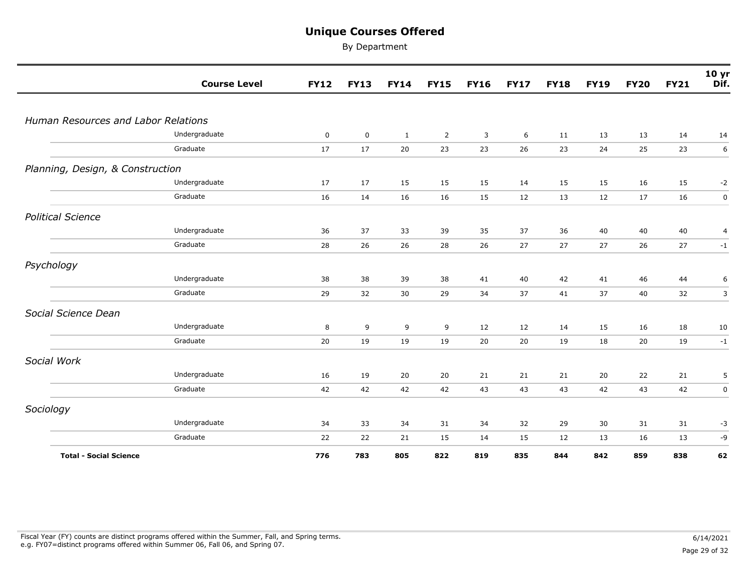|                                     | <b>Course Level</b> | <b>FY12</b> | <b>FY13</b> | <b>FY14</b>  | <b>FY15</b>    | <b>FY16</b> | <b>FY17</b> | <b>FY18</b> | <b>FY19</b> | <b>FY20</b> | <b>FY21</b> | 10 yr<br>Dif. |
|-------------------------------------|---------------------|-------------|-------------|--------------|----------------|-------------|-------------|-------------|-------------|-------------|-------------|---------------|
|                                     |                     |             |             |              |                |             |             |             |             |             |             |               |
| Human Resources and Labor Relations |                     |             |             |              |                |             |             |             |             |             |             |               |
|                                     | Undergraduate       | $\mathbf 0$ | $\mathbf 0$ | $\mathbf{1}$ | $\overline{2}$ | 3           | 6           | 11          | 13          | 13          | 14          | 14            |
|                                     | Graduate            | 17          | 17          | 20           | 23             | 23          | 26          | 23          | 24          | 25          | 23          | 6             |
| Planning, Design, & Construction    |                     |             |             |              |                |             |             |             |             |             |             |               |
|                                     | Undergraduate       | 17          | 17          | 15           | 15             | 15          | 14          | 15          | 15          | 16          | 15          | $-2$          |
|                                     | Graduate            | 16          | 14          | 16           | 16             | 15          | 12          | 13          | 12          | 17          | 16          | $\mathsf 0$   |
| <b>Political Science</b>            |                     |             |             |              |                |             |             |             |             |             |             |               |
|                                     | Undergraduate       | 36          | 37          | 33           | 39             | 35          | 37          | 36          | 40          | 40          | 40          | 4             |
|                                     | Graduate            | 28          | 26          | 26           | 28             | 26          | 27          | 27          | 27          | 26          | 27          | $-1$          |
| Psychology                          |                     |             |             |              |                |             |             |             |             |             |             |               |
|                                     | Undergraduate       | 38          | 38          | 39           | 38             | 41          | 40          | 42          | 41          | 46          | 44          | 6             |
|                                     | Graduate            | 29          | 32          | $30\,$       | 29             | 34          | 37          | 41          | 37          | 40          | 32          | $\mathsf{3}$  |
| Social Science Dean                 |                     |             |             |              |                |             |             |             |             |             |             |               |
|                                     | Undergraduate       | 8           | 9           | 9            | 9              | 12          | 12          | 14          | 15          | 16          | 18          | 10            |
|                                     | Graduate            | 20          | 19          | 19           | 19             | 20          | 20          | 19          | 18          | 20          | 19          | $-1$          |
| Social Work                         |                     |             |             |              |                |             |             |             |             |             |             |               |
|                                     | Undergraduate       | 16          | 19          | 20           | 20             | 21          | 21          | 21          | 20          | 22          | 21          | 5             |
|                                     | Graduate            | 42          | 42          | 42           | 42             | 43          | 43          | 43          | 42          | 43          | 42          | $\mathbf 0$   |
| Sociology                           |                     |             |             |              |                |             |             |             |             |             |             |               |
|                                     | Undergraduate       | 34          | 33          | 34           | 31             | 34          | 32          | 29          | 30          | 31          | 31          | $-3$          |
|                                     | Graduate            | 22          | 22          | 21           | 15             | 14          | 15          | 12          | 13          | 16          | 13          | -9            |
| <b>Total - Social Science</b>       |                     | 776         | 783         | 805          | 822            | 819         | 835         | 844         | 842         | 859         | 838         | 62            |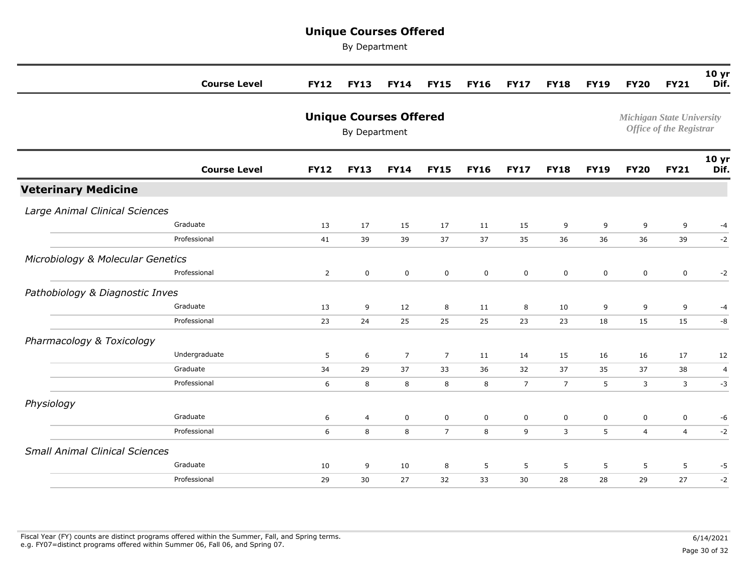|                                       | <b>Course Level</b> | <b>FY12</b>    | <b>FY13</b>                                    | <b>FY14</b>    | <b>FY15</b>    | <b>FY16</b> | <b>FY17</b>    | <b>FY18</b>    | <b>FY19</b> | <b>FY20</b>                      | <b>FY21</b>                    | 10 <sub>yr</sub><br>Dif. |
|---------------------------------------|---------------------|----------------|------------------------------------------------|----------------|----------------|-------------|----------------|----------------|-------------|----------------------------------|--------------------------------|--------------------------|
|                                       |                     |                | <b>Unique Courses Offered</b><br>By Department |                |                |             |                |                |             | <b>Michigan State University</b> | <b>Office of the Registrar</b> |                          |
|                                       | <b>Course Level</b> | <b>FY12</b>    | <b>FY13</b>                                    | <b>FY14</b>    | <b>FY15</b>    | <b>FY16</b> | <b>FY17</b>    | <b>FY18</b>    | <b>FY19</b> | <b>FY20</b>                      | <b>FY21</b>                    | 10 <sub>yr</sub><br>Dif. |
| <b>Veterinary Medicine</b>            |                     |                |                                                |                |                |             |                |                |             |                                  |                                |                          |
| Large Animal Clinical Sciences        |                     |                |                                                |                |                |             |                |                |             |                                  |                                |                          |
|                                       | Graduate            | 13             | 17                                             | 15             | 17             | 11          | 15             | 9              | 9           | 9                                | 9                              | $-4$                     |
|                                       | Professional        | 41             | 39                                             | 39             | 37             | 37          | 35             | 36             | 36          | 36                               | 39                             | $-2$                     |
| Microbiology & Molecular Genetics     |                     |                |                                                |                |                |             |                |                |             |                                  |                                |                          |
|                                       | Professional        | $\overline{2}$ | $\mathsf{O}\xspace$                            | $\mathbf 0$    | $\mathbf 0$    | $\mathbf 0$ | $\mathbf 0$    | $\mathbf 0$    | $\mathbf 0$ | $\mathbf 0$                      | $\mathbf 0$                    | $-2$                     |
| Pathobiology & Diagnostic Inves       |                     |                |                                                |                |                |             |                |                |             |                                  |                                |                          |
|                                       | Graduate            | 13             | 9                                              | 12             | 8              | 11          | 8              | 10             | 9           | $\overline{9}$                   | 9                              | $-4$                     |
|                                       | Professional        | 23             | 24                                             | 25             | 25             | 25          | 23             | 23             | 18          | 15                               | 15                             | -8                       |
| Pharmacology & Toxicology             |                     |                |                                                |                |                |             |                |                |             |                                  |                                |                          |
|                                       | Undergraduate       | 5              | 6                                              | $\overline{7}$ | $\overline{7}$ | 11          | 14             | 15             | 16          | 16                               | 17                             | 12                       |
|                                       | Graduate            | 34             | 29                                             | 37             | 33             | 36          | 32             | 37             | 35          | 37                               | 38                             | $\overline{4}$           |
|                                       | Professional        | 6              | 8                                              | 8              | 8              | 8           | $\overline{7}$ | $\overline{7}$ | 5           | 3                                | 3                              | $-3$                     |
| Physiology                            |                     |                |                                                |                |                |             |                |                |             |                                  |                                |                          |
|                                       | Graduate            | 6              | $\overline{4}$                                 | $\mathbf 0$    | $\mathsf{O}$   | 0           | $\mathsf 0$    | $\mathsf 0$    | $\mathbf 0$ | $\pmb{0}$                        | $\mathsf{O}\xspace$            | -6                       |
|                                       | Professional        | 6              | 8                                              | 8              | $\overline{7}$ | 8           | 9              | 3              | 5           | $\overline{4}$                   | $\overline{4}$                 | $-2$                     |
| <b>Small Animal Clinical Sciences</b> |                     |                |                                                |                |                |             |                |                |             |                                  |                                |                          |
|                                       | Graduate            | 10             | 9                                              | 10             | 8              | 5           | 5              | 5              | 5           | 5                                | 5                              | $-5$                     |
|                                       | Professional        | 29             | 30                                             | 27             | 32             | 33          | 30             | 28             | 28          | 29                               | 27                             | $-2$                     |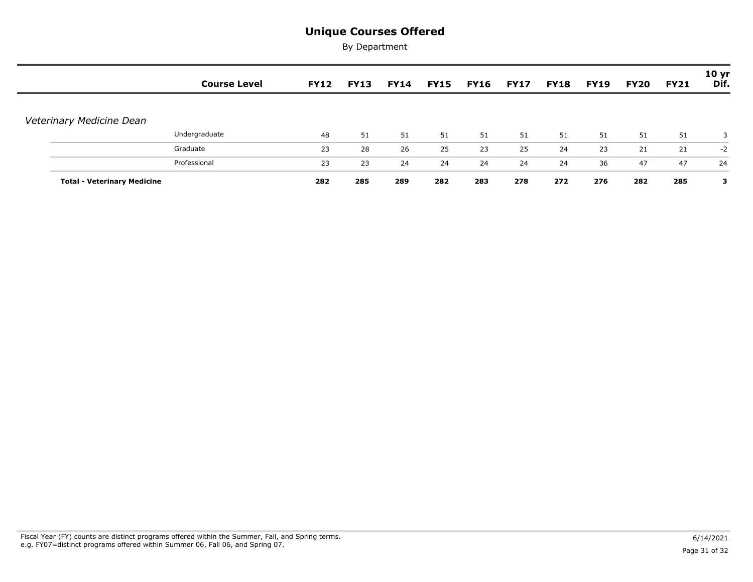|                                    | <b>Course Level</b> | <b>FY12</b> | <b>FY13</b> | <b>FY14</b> | FY15 | <b>FY16</b> | <b>FY17</b> | <b>FY18</b> | <b>FY19</b> | <b>FY20</b> | <b>FY21</b> | 10 <sub>yr</sub><br>Dif. |
|------------------------------------|---------------------|-------------|-------------|-------------|------|-------------|-------------|-------------|-------------|-------------|-------------|--------------------------|
| Veterinary Medicine Dean           |                     |             |             |             |      |             |             |             |             |             |             |                          |
|                                    | Undergraduate       | 48          | 51          | 51          | 51   | 51          | 51          | 51          | 51          | 51          | 51          | 3                        |
|                                    | Graduate            | 23          | 28          | 26          | 25   | 23          | 25          | 24          | 23          | 21          | 21          | $-2$                     |
|                                    | Professional        | 23          | 23          | 24          | 24   | 24          | 24          | 24          | 36          | 47          | 47          | 24                       |
| <b>Total - Veterinary Medicine</b> |                     | 282         | 285         | 289         | 282  | 283         | 278         | 272         | 276         | 282         | 285         | з                        |